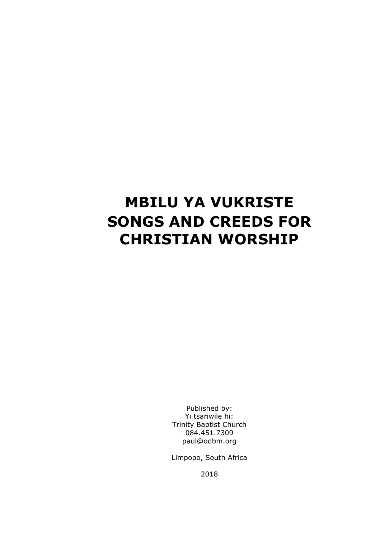# **MBILU YA VUKRISTE SONGS AND CREEDS FOR CHRISTIAN WORSHIP**

Published by: Yi tsariwile hi: Trinity Baptist Church 084.451.7309 paul@odbm.org

Limpopo, South Africa

2018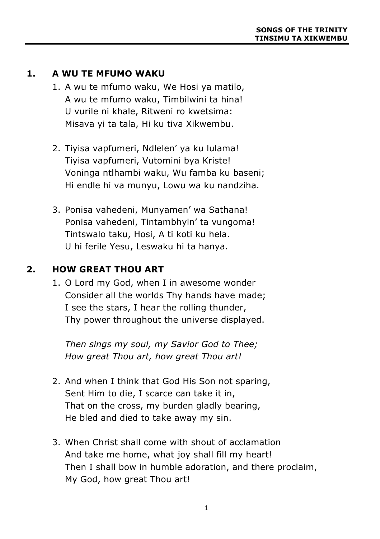#### **1. A WU TE MFUMO WAKU**

- 1. A wu te mfumo waku, We Hosi ya matilo, A wu te mfumo waku, Timbilwini ta hina! U vurile ni khale, Ritweni ro kwetsima: Misava yi ta tala, Hi ku tiva Xikwembu.
- 2. Tiyisa vapfumeri, Ndlelen' ya ku lulama! Tiyisa vapfumeri, Vutomini bya Kriste! Voninga ntlhambi waku, Wu famba ku baseni; Hi endle hi va munyu, Lowu wa ku nandziha.
- 3. Ponisa vahedeni, Munyamen' wa Sathana! Ponisa vahedeni, Tintambhyin' ta vungoma! Tintswalo taku, Hosi, A ti koti ku hela. U hi ferile Yesu, Leswaku hi ta hanya.

## **2. HOW GREAT THOU ART**

1. O Lord my God, when I in awesome wonder Consider all the worlds Thy hands have made; I see the stars, I hear the rolling thunder, Thy power throughout the universe displayed.

*Then sings my soul, my Savior God to Thee; How great Thou art, how great Thou art!*

- 2. And when I think that God His Son not sparing, Sent Him to die, I scarce can take it in, That on the cross, my burden gladly bearing, He bled and died to take away my sin.
- 3. When Christ shall come with shout of acclamation And take me home, what joy shall fill my heart! Then I shall bow in humble adoration, and there proclaim, My God, how great Thou art!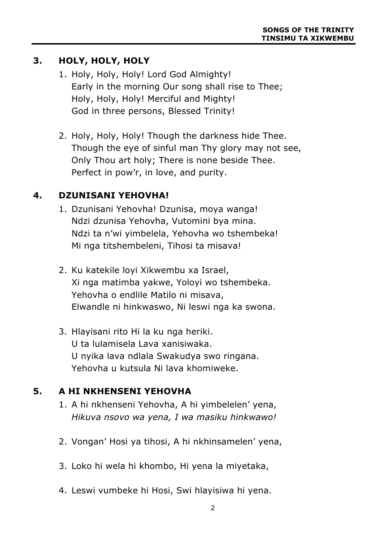## **3. HOLY, HOLY, HOLY**

- 1. Holy, Holy, Holy! Lord God Almighty! Early in the morning Our song shall rise to Thee; Holy, Holy, Holy! Merciful and Mighty! God in three persons, Blessed Trinity!
- 2. Holy, Holy, Holy! Though the darkness hide Thee. Though the eye of sinful man Thy glory may not see, Only Thou art holy; There is none beside Thee. Perfect in pow'r, in love, and purity.

# **4. DZUNISANI YEHOVHA!**

- 1. Dzunisani Yehovha! Dzunisa, moya wanga! Ndzi dzunisa Yehovha, Vutomini bya mina. Ndzi ta n'wi yimbelela, Yehovha wo tshembeka! Mi nga titshembeleni, Tihosi ta misava!
- 2. Ku katekile loyi Xikwembu xa Israel, Xi nga matimba yakwe, Yoloyi wo tshembeka. Yehovha o endlile Matilo ni misava, Elwandle ni hinkwaswo, Ni leswi nga ka swona.
- 3. Hlayisani rito Hi la ku nga heriki. U ta lulamisela Lava xanisiwaka. U nyika lava ndlala Swakudya swo ringana. Yehovha u kutsula Ni lava khomiweke.

## **5. A HI NKHENSENI YEHOVHA**

- 1. A hi nkhenseni Yehovha, A hi yimbelelen' yena, *Hikuva nsovo wa yena, I wa masiku hinkwawo!*
- 2. Vongan' Hosi ya tihosi, A hi nkhinsamelen' yena,
- 3. Loko hi wela hi khombo, Hi yena la miyetaka,
- 4. Leswi vumbeke hi Hosi, Swi hlayisiwa hi yena.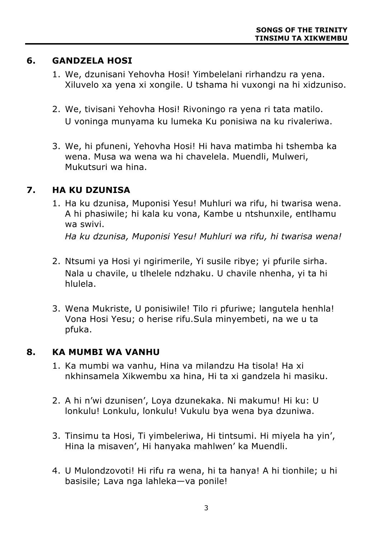#### **6. GANDZELA HOSI**

- 1. We, dzunisani Yehovha Hosi! Yimbelelani rirhandzu ra yena. Xiluvelo xa yena xi xongile. U tshama hi vuxongi na hi xidzuniso.
- 2. We, tivisani Yehovha Hosi! Rivoningo ra yena ri tata matilo. U voninga munyama ku lumeka Ku ponisiwa na ku rivaleriwa.
- 3. We, hi pfuneni, Yehovha Hosi! Hi hava matimba hi tshemba ka wena. Musa wa wena wa hi chavelela. Muendli, Mulweri, Mukutsuri wa hina.

# **7. HA KU DZUNISA**

- 1. Ha ku dzunisa, Muponisi Yesu! Muhluri wa rifu, hi twarisa wena. A hi phasiwile; hi kala ku vona, Kambe u ntshunxile, entlhamu wa swivi. *Ha ku dzunisa, Muponisi Yesu! Muhluri wa rifu, hi twarisa wena!*
- 2. Ntsumi ya Hosi yi ngirimerile, Yi susile ribye; yi pfurile sirha. Nala u chavile, u tlhelele ndzhaku. U chavile nhenha, yi ta hi hlulela.
- 3. Wena Mukriste, U ponisiwile! Tilo ri pfuriwe; langutela henhla! Vona Hosi Yesu; o herise rifu.Sula minyembeti, na we u ta pfuka.

## **8. KA MUMBI WA VANHU**

- 1. Ka mumbi wa vanhu, Hina va milandzu Ha tisola! Ha xi nkhinsamela Xikwembu xa hina, Hi ta xi gandzela hi masiku.
- 2. A hi n'wi dzunisen', Loya dzunekaka. Ni makumu! Hi ku: U lonkulu! Lonkulu, lonkulu! Vukulu bya wena bya dzuniwa.
- 3. Tinsimu ta Hosi, Ti yimbeleriwa, Hi tintsumi. Hi miyela ha yin', Hina la misaven', Hi hanyaka mahlwen' ka Muendli.
- 4. U Mulondzovoti! Hi rifu ra wena, hi ta hanya! A hi tionhile; u hi basisile; Lava nga lahleka—va ponile!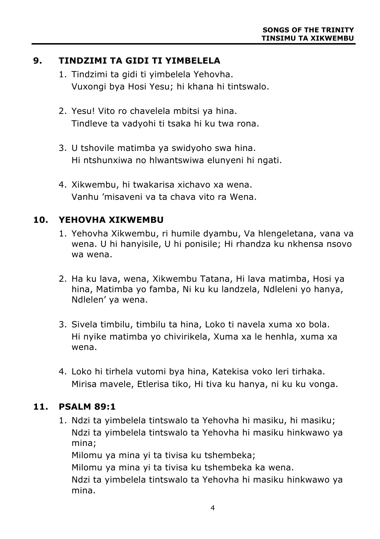#### **9. TINDZIMI TA GIDI TI YIMBELELA**

- 1. Tindzimi ta gidi ti yimbelela Yehovha. Vuxongi bya Hosi Yesu; hi khana hi tintswalo.
- 2. Yesu! Vito ro chavelela mbitsi ya hina. Tindleve ta vadyohi ti tsaka hi ku twa rona.
- 3. U tshovile matimba ya swidyoho swa hina. Hi ntshunxiwa no hlwantswiwa elunyeni hi ngati.
- 4. Xikwembu, hi twakarisa xichavo xa wena. Vanhu 'misaveni va ta chava vito ra Wena.

#### **10. YEHOVHA XIKWEMBU**

- 1. Yehovha Xikwembu, ri humile dyambu, Va hlengeletana, vana va wena. U hi hanyisile, U hi ponisile; Hi rhandza ku nkhensa nsovo wa wena.
- 2. Ha ku lava, wena, Xikwembu Tatana, Hi lava matimba, Hosi ya hina, Matimba yo famba, Ni ku ku landzela, Ndleleni yo hanya, Ndlelen' ya wena.
- 3. Sivela timbilu, timbilu ta hina, Loko ti navela xuma xo bola. Hi nyike matimba yo chivirikela, Xuma xa le henhla, xuma xa wena.
- 4. Loko hi tirhela vutomi bya hina, Katekisa voko leri tirhaka. Mirisa mavele, Etlerisa tiko, Hi tiva ku hanya, ni ku ku vonga.

#### **11. PSALM 89:1**

1. Ndzi ta yimbelela tintswalo ta Yehovha hi masiku, hi masiku; Ndzi ta yimbelela tintswalo ta Yehovha hi masiku hinkwawo ya mina; Milomu ya mina yi ta tivisa ku tshembeka; Milomu ya mina yi ta tivisa ku tshembeka ka wena. Ndzi ta yimbelela tintswalo ta Yehovha hi masiku hinkwawo ya mina.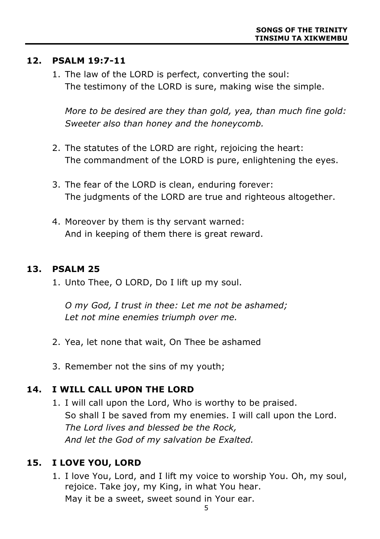#### **12. PSALM 19:7-11**

1. The law of the LORD is perfect, converting the soul: The testimony of the LORD is sure, making wise the simple.

*More to be desired are they than gold, yea, than much fine gold: Sweeter also than honey and the honeycomb.* 

- 2. The statutes of the LORD are right, rejoicing the heart: The commandment of the LORD is pure, enlightening the eyes.
- 3. The fear of the LORD is clean, enduring forever: The judgments of the LORD are true and righteous altogether.
- 4. Moreover by them is thy servant warned: And in keeping of them there is great reward.

## **13. PSALM 25**

1. Unto Thee, O LORD, Do I lift up my soul.

*O my God, I trust in thee: Let me not be ashamed; Let not mine enemies triumph over me.*

- 2. Yea, let none that wait, On Thee be ashamed
- 3. Remember not the sins of my youth;

#### **14. I WILL CALL UPON THE LORD**

1. I will call upon the Lord, Who is worthy to be praised. So shall I be saved from my enemies. I will call upon the Lord. *The Lord lives and blessed be the Rock, And let the God of my salvation be Exalted.* 

## **15. I LOVE YOU, LORD**

1. I love You, Lord, and I lift my voice to worship You. Oh, my soul, rejoice. Take joy, my King, in what You hear. May it be a sweet, sweet sound in Your ear.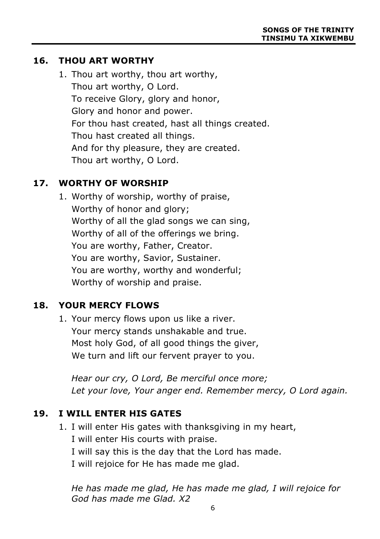## **16. THOU ART WORTHY**

1. Thou art worthy, thou art worthy, Thou art worthy, O Lord. To receive Glory, glory and honor, Glory and honor and power. For thou hast created, hast all things created. Thou hast created all things. And for thy pleasure, they are created. Thou art worthy, O Lord.

# **17. WORTHY OF WORSHIP**

1. Worthy of worship, worthy of praise, Worthy of honor and glory; Worthy of all the glad songs we can sing, Worthy of all of the offerings we bring. You are worthy, Father, Creator. You are worthy, Savior, Sustainer. You are worthy, worthy and wonderful; Worthy of worship and praise.

## **18. YOUR MERCY FLOWS**

1. Your mercy flows upon us like a river. Your mercy stands unshakable and true. Most holy God, of all good things the giver, We turn and lift our fervent prayer to you.

*Hear our cry, O Lord, Be merciful once more; Let your love, Your anger end. Remember mercy, O Lord again.*

#### **19. I WILL ENTER HIS GATES**

- 1. I will enter His gates with thanksgiving in my heart,
	- I will enter His courts with praise.
	- I will say this is the day that the Lord has made.
	- I will rejoice for He has made me glad.

*He has made me glad, He has made me glad, I will rejoice for God has made me Glad. X2*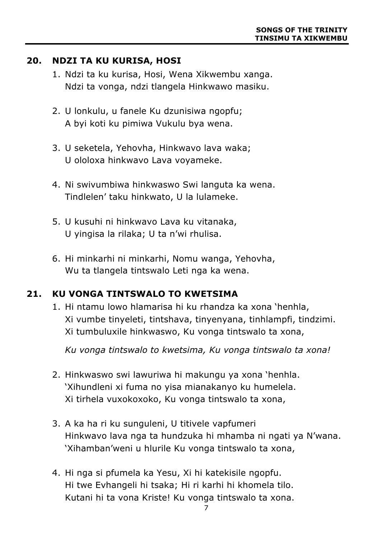#### **20. NDZI TA KU KURISA, HOSI**

- 1. Ndzi ta ku kurisa, Hosi, Wena Xikwembu xanga. Ndzi ta vonga, ndzi tlangela Hinkwawo masiku.
- 2. U lonkulu, u fanele Ku dzunisiwa ngopfu; A byi koti ku pimiwa Vukulu bya wena.
- 3. U seketela, Yehovha, Hinkwavo lava waka; U ololoxa hinkwavo Lava voyameke.
- 4. Ni swivumbiwa hinkwaswo Swi languta ka wena. Tindlelen' taku hinkwato, U la lulameke.
- 5. U kusuhi ni hinkwavo Lava ku vitanaka, U yingisa la rilaka; U ta n'wi rhulisa.
- 6. Hi minkarhi ni minkarhi, Nomu wanga, Yehovha, Wu ta tlangela tintswalo Leti nga ka wena.

## **21. KU VONGA TINTSWALO TO KWETSIMA**

1. Hi ntamu lowo hlamarisa hi ku rhandza ka xona 'henhla, Xi vumbe tinyeleti, tintshava, tinyenyana, tinhlampfi, tindzimi. Xi tumbuluxile hinkwaswo, Ku vonga tintswalo ta xona,

*Ku vonga tintswalo to kwetsima, Ku vonga tintswalo ta xona!*

- 2. Hinkwaswo swi lawuriwa hi makungu ya xona 'henhla. 'Xihundleni xi fuma no yisa mianakanyo ku humelela. Xi tirhela vuxokoxoko, Ku vonga tintswalo ta xona,
- 3. A ka ha ri ku sunguleni, U titivele vapfumeri Hinkwavo lava nga ta hundzuka hi mhamba ni ngati ya N'wana. 'Xihamban'weni u hlurile Ku vonga tintswalo ta xona,
- 4. Hi nga si pfumela ka Yesu, Xi hi katekisile ngopfu. Hi twe Evhangeli hi tsaka; Hi ri karhi hi khomela tilo. Kutani hi ta vona Kriste! Ku vonga tintswalo ta xona.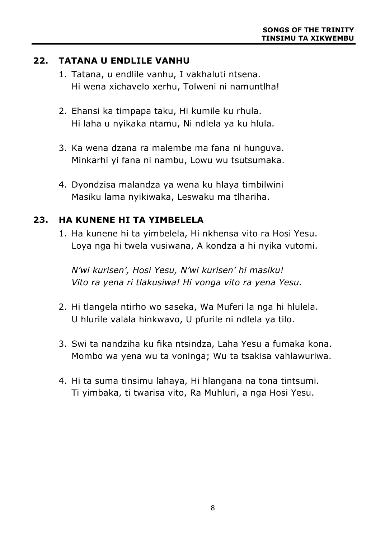#### **22. TATANA U ENDLILE VANHU**

- 1. Tatana, u endlile vanhu, I vakhaluti ntsena. Hi wena xichavelo xerhu, Tolweni ni namuntlha!
- 2. Ehansi ka timpapa taku, Hi kumile ku rhula. Hi laha u nyikaka ntamu, Ni ndlela ya ku hlula.
- 3. Ka wena dzana ra malembe ma fana ni hunguva. Minkarhi yi fana ni nambu, Lowu wu tsutsumaka.
- 4. Dyondzisa malandza ya wena ku hlaya timbilwini Masiku lama nyikiwaka, Leswaku ma tlhariha.

## **23. HA KUNENE HI TA YIMBELELA**

1. Ha kunene hi ta yimbelela, Hi nkhensa vito ra Hosi Yesu. Loya nga hi twela vusiwana, A kondza a hi nyika vutomi.

*N'wi kurisen', Hosi Yesu, N'wi kurisen' hi masiku! Vito ra yena ri tlakusiwa! Hi vonga vito ra yena Yesu.*

- 2. Hi tlangela ntirho wo saseka, Wa Muferi la nga hi hlulela. U hlurile valala hinkwavo, U pfurile ni ndlela ya tilo.
- 3. Swi ta nandziha ku fika ntsindza, Laha Yesu a fumaka kona. Mombo wa yena wu ta voninga; Wu ta tsakisa vahlawuriwa.
- 4. Hi ta suma tinsimu lahaya, Hi hlangana na tona tintsumi. Ti yimbaka, ti twarisa vito, Ra Muhluri, a nga Hosi Yesu.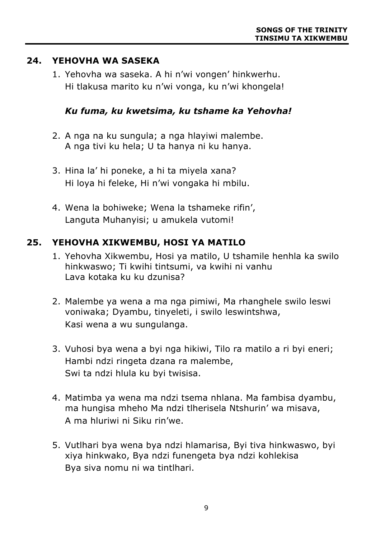## **24. YEHOVHA WA SASEKA**

1. Yehovha wa saseka. A hi n'wi vongen' hinkwerhu. Hi tlakusa marito ku n'wi vonga, ku n'wi khongela!

#### *Ku fuma, ku kwetsima, ku tshame ka Yehovha!*

- 2. A nga na ku sungula; a nga hlayiwi malembe. A nga tivi ku hela; U ta hanya ni ku hanya.
- 3. Hina la' hi poneke, a hi ta miyela xana? Hi loya hi feleke, Hi n'wi vongaka hi mbilu.
- 4. Wena la bohiweke; Wena la tshameke rifin', Languta Muhanyisi; u amukela vutomi!

## **25. YEHOVHA XIKWEMBU, HOSI YA MATILO**

- 1. Yehovha Xikwembu, Hosi ya matilo, U tshamile henhla ka swilo hinkwaswo; Ti kwihi tintsumi, va kwihi ni vanhu Lava kotaka ku ku dzunisa?
- 2. Malembe ya wena a ma nga pimiwi, Ma rhanghele swilo leswi voniwaka; Dyambu, tinyeleti, i swilo leswintshwa, Kasi wena a wu sungulanga.
- 3. Vuhosi bya wena a byi nga hikiwi, Tilo ra matilo a ri byi eneri; Hambi ndzi ringeta dzana ra malembe, Swi ta ndzi hlula ku byi twisisa.
- 4. Matimba ya wena ma ndzi tsema nhlana. Ma fambisa dyambu, ma hungisa mheho Ma ndzi tlherisela Ntshurin' wa misava, A ma hluriwi ni Siku rin'we.
- 5. Vutlhari bya wena bya ndzi hlamarisa, Byi tiva hinkwaswo, byi xiya hinkwako, Bya ndzi funengeta bya ndzi kohlekisa Bya siva nomu ni wa tintlhari.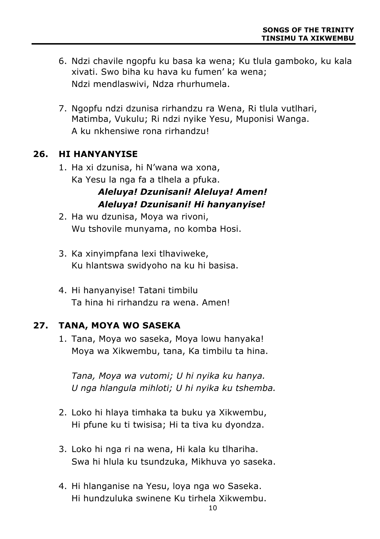- 6. Ndzi chavile ngopfu ku basa ka wena; Ku tlula gamboko, ku kala xivati. Swo biha ku hava ku fumen' ka wena; Ndzi mendlaswivi, Ndza rhurhumela.
- 7. Ngopfu ndzi dzunisa rirhandzu ra Wena, Ri tlula vutlhari, Matimba, Vukulu; Ri ndzi nyike Yesu, Muponisi Wanga. A ku nkhensiwe rona rirhandzu!

## **26. HI HANYANYISE**

- 1. Ha xi dzunisa, hi N'wana wa xona, Ka Yesu la nga fa a tlhela a pfuka. *Aleluya! Dzunisani! Aleluya! Amen! Aleluya! Dzunisani! Hi hanyanyise!*
- 2. Ha wu dzunisa, Moya wa rivoni, Wu tshovile munyama, no komba Hosi.
- 3. Ka xinyimpfana lexi tlhaviweke, Ku hlantswa swidyoho na ku hi basisa.
- 4. Hi hanyanyise! Tatani timbilu Ta hina hi rirhandzu ra wena. Amen!

#### **27. TANA, MOYA WO SASEKA**

1. Tana, Moya wo saseka, Moya lowu hanyaka! Moya wa Xikwembu, tana, Ka timbilu ta hina.

*Tana, Moya wa vutomi; U hi nyika ku hanya. U nga hlangula mihloti; U hi nyika ku tshemba.*

- 2. Loko hi hlaya timhaka ta buku ya Xikwembu, Hi pfune ku ti twisisa; Hi ta tiva ku dyondza.
- 3. Loko hi nga ri na wena, Hi kala ku tlhariha. Swa hi hlula ku tsundzuka, Mikhuva yo saseka.
- 4. Hi hlanganise na Yesu, loya nga wo Saseka. Hi hundzuluka swinene Ku tirhela Xikwembu.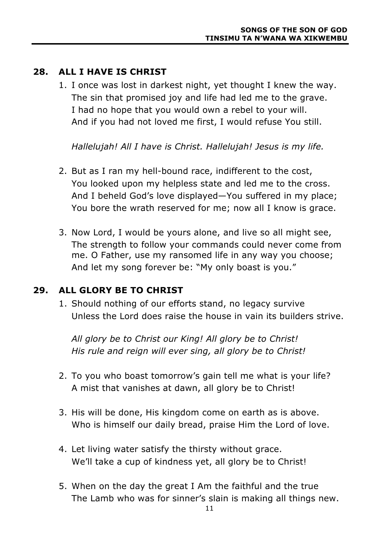# **28. ALL I HAVE IS CHRIST**

1. I once was lost in darkest night, yet thought I knew the way. The sin that promised joy and life had led me to the grave. I had no hope that you would own a rebel to your will. And if you had not loved me first, I would refuse You still.

*Hallelujah! All I have is Christ. Hallelujah! Jesus is my life.*

- 2. But as I ran my hell-bound race, indifferent to the cost, You looked upon my helpless state and led me to the cross. And I beheld God's love displayed—You suffered in my place; You bore the wrath reserved for me; now all I know is grace.
- 3. Now Lord, I would be yours alone, and live so all might see, The strength to follow your commands could never come from me. O Father, use my ransomed life in any way you choose; And let my song forever be: "My only boast is you."

## **29. ALL GLORY BE TO CHRIST**

1. Should nothing of our efforts stand, no legacy survive Unless the Lord does raise the house in vain its builders strive.

*All glory be to Christ our King! All glory be to Christ! His rule and reign will ever sing, all glory be to Christ!* 

- 2. To you who boast tomorrow's gain tell me what is your life? A mist that vanishes at dawn, all glory be to Christ!
- 3. His will be done, His kingdom come on earth as is above. Who is himself our daily bread, praise Him the Lord of love.
- 4. Let living water satisfy the thirsty without grace. We'll take a cup of kindness yet, all glory be to Christ!
- 5. When on the day the great I Am the faithful and the true The Lamb who was for sinner's slain is making all things new.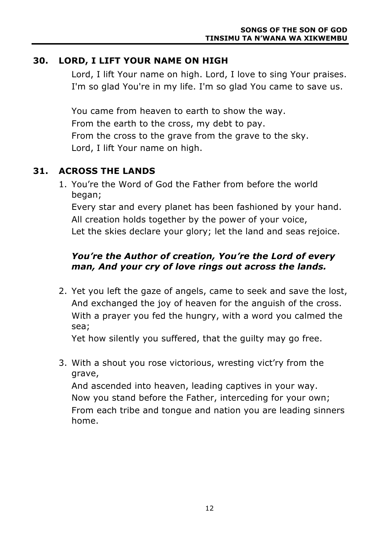## **30. LORD, I LIFT YOUR NAME ON HIGH**

Lord, I lift Your name on high. Lord, I love to sing Your praises. I'm so glad You're in my life. I'm so glad You came to save us.

You came from heaven to earth to show the way. From the earth to the cross, my debt to pay. From the cross to the grave from the grave to the sky. Lord, I lift Your name on high.

## **31. ACROSS THE LANDS**

1. You're the Word of God the Father from before the world began;

Every star and every planet has been fashioned by your hand. All creation holds together by the power of your voice, Let the skies declare your glory; let the land and seas rejoice.

# *You're the Author of creation, You're the Lord of every man, And your cry of love rings out across the lands.*

2. Yet you left the gaze of angels, came to seek and save the lost, And exchanged the joy of heaven for the anguish of the cross. With a prayer you fed the hungry, with a word you calmed the sea;

Yet how silently you suffered, that the guilty may go free.

3. With a shout you rose victorious, wresting vict'ry from the grave,

And ascended into heaven, leading captives in your way. Now you stand before the Father, interceding for your own; From each tribe and tongue and nation you are leading sinners home.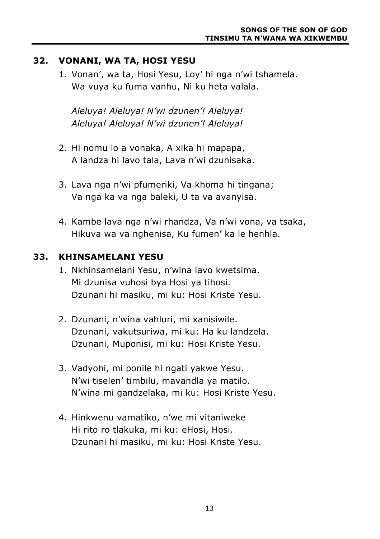#### **32. VONANI, WA TA, HOSI YESU**

1. Vonan', wa ta, Hosi Yesu, Loy' hi nga n'wi tshamela. Wa vuya ku fuma vanhu, Ni ku heta valala.

*Aleluya! Aleluya! N'wi dzunen'! Aleluya! Aleluya! Aleluya! N'wi dzunen'! Aleluya!*

- 2. Hi nomu lo a vonaka, A xika hi mapapa, A landza hi lavo tala, Lava n'wi dzunisaka.
- 3. Lava nga n'wi pfumeriki, Va khoma hi tingana; Va nga ka va nga baleki, U ta va avanyisa.
- 4. Kambe lava nga n'wi rhandza, Va n'wi vona, va tsaka, Hikuva wa va nghenisa, Ku fumen' ka le henhla.

## **33. KHINSAMELANI YESU**

- 1. Nkhinsamelani Yesu, n'wina lavo kwetsima. Mi dzunisa vuhosi bya Hosi ya tihosi. Dzunani hi masiku, mi ku: Hosi Kriste Yesu.
- 2. Dzunani, n'wina vahluri, mi xanisiwile. Dzunani, vakutsuriwa, mi ku: Ha ku landzela. Dzunani, Muponisi, mi ku: Hosi Kriste Yesu.
- 3. Vadyohi, mi ponile hi ngati yakwe Yesu. N'wi tiselen' timbilu, mavandla ya matilo. N'wina mi gandzelaka, mi ku: Hosi Kriste Yesu.
- 4. Hinkwenu vamatiko, n'we mi vitaniweke Hi rito ro tlakuka, mi ku: eHosi, Hosi. Dzunani hi masiku, mi ku: Hosi Kriste Yesu.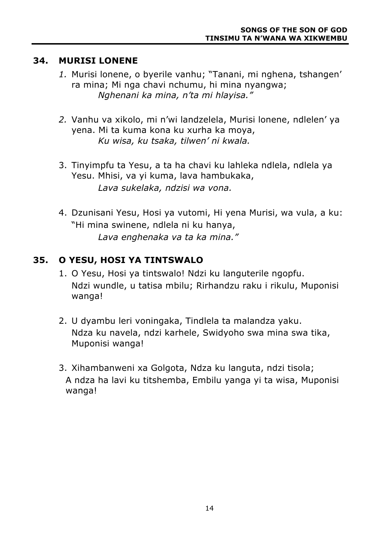## **34. MURISI LONENE**

- *1.* Murisi lonene, o byerile vanhu; "Tanani, mi nghena, tshangen' ra mina; Mi nga chavi nchumu, hi mina nyangwa; *Nghenani ka mina, n'ta mi hlayisa."*
- *2.* Vanhu va xikolo, mi n'wi landzelela, Murisi lonene, ndlelen' ya yena. Mi ta kuma kona ku xurha ka moya, *Ku wisa, ku tsaka, tilwen' ni kwala.*
- 3. Tinyimpfu ta Yesu, a ta ha chavi ku lahleka ndlela, ndlela ya Yesu. Mhisi, va yi kuma, lava hambukaka, *Lava sukelaka, ndzisi wa vona.*
- 4. Dzunisani Yesu, Hosi ya vutomi, Hi yena Murisi, wa vula, a ku: "Hi mina swinene, ndlela ni ku hanya, *Lava enghenaka va ta ka mina."*

## **35. O YESU, HOSI YA TINTSWALO**

- 1. O Yesu, Hosi ya tintswalo! Ndzi ku languterile ngopfu. Ndzi wundle, u tatisa mbilu; Rirhandzu raku i rikulu, Muponisi wanga!
- 2. U dyambu leri voningaka, Tindlela ta malandza yaku. Ndza ku navela, ndzi karhele, Swidyoho swa mina swa tika, Muponisi wanga!
- 3. Xihambanweni xa Golgota, Ndza ku languta, ndzi tisola; A ndza ha lavi ku titshemba, Embilu yanga yi ta wisa, Muponisi wanga!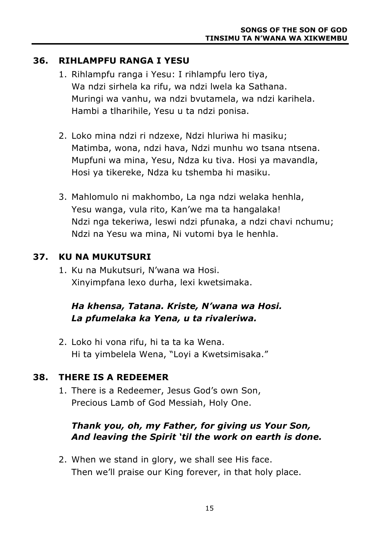#### **36. RIHLAMPFU RANGA I YESU**

- 1. Rihlampfu ranga i Yesu: I rihlampfu lero tiya, Wa ndzi sirhela ka rifu, wa ndzi lwela ka Sathana. Muringi wa vanhu, wa ndzi bvutamela, wa ndzi karihela. Hambi a tlharihile, Yesu u ta ndzi ponisa.
- 2. Loko mina ndzi ri ndzexe, Ndzi hluriwa hi masiku; Matimba, wona, ndzi hava, Ndzi munhu wo tsana ntsena. Mupfuni wa mina, Yesu, Ndza ku tiva. Hosi ya mavandla, Hosi ya tikereke, Ndza ku tshemba hi masiku.
- 3. Mahlomulo ni makhombo, La nga ndzi welaka henhla, Yesu wanga, vula rito, Kan'we ma ta hangalaka! Ndzi nga tekeriwa, leswi ndzi pfunaka, a ndzi chavi nchumu; Ndzi na Yesu wa mina, Ni vutomi bya le henhla.

## **37. KU NA MUKUTSURI**

1. Ku na Mukutsuri, N'wana wa Hosi. Xinyimpfana lexo durha, lexi kwetsimaka.

# *Ha khensa, Tatana. Kriste, N'wana wa Hosi. La pfumelaka ka Yena, u ta rivaleriwa.*

2. Loko hi vona rifu, hi ta ta ka Wena. Hi ta yimbelela Wena, "Loyi a Kwetsimisaka."

## **38. THERE IS A REDEEMER**

1. There is a Redeemer, Jesus God's own Son, Precious Lamb of God Messiah, Holy One.

# *Thank you, oh, my Father, for giving us Your Son, And leaving the Spirit 'til the work on earth is done.*

2. When we stand in glory, we shall see His face. Then we'll praise our King forever, in that holy place.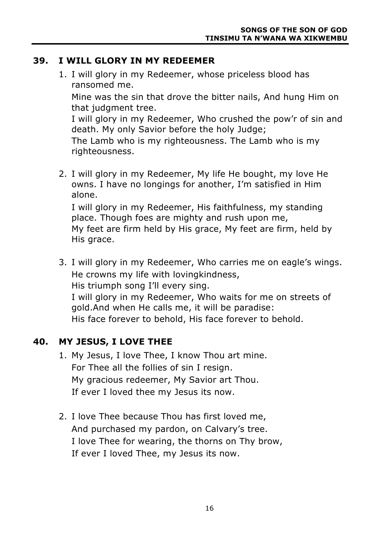#### **39. I WILL GLORY IN MY REDEEMER**

1. I will glory in my Redeemer, whose priceless blood has ransomed me.

Mine was the sin that drove the bitter nails, And hung Him on that judgment tree.

I will glory in my Redeemer, Who crushed the pow'r of sin and death. My only Savior before the holy Judge;

The Lamb who is my righteousness. The Lamb who is my righteousness.

2. I will glory in my Redeemer, My life He bought, my love He owns. I have no longings for another, I'm satisfied in Him alone.

I will glory in my Redeemer, His faithfulness, my standing place. Though foes are mighty and rush upon me, My feet are firm held by His grace, My feet are firm, held by His grace.

3. I will glory in my Redeemer, Who carries me on eagle's wings. He crowns my life with lovingkindness, His triumph song I'll every sing. I will glory in my Redeemer, Who waits for me on streets of gold.And when He calls me, it will be paradise: His face forever to behold, His face forever to behold.

## **40. MY JESUS, I LOVE THEE**

- 1. My Jesus, I love Thee, I know Thou art mine. For Thee all the follies of sin I resign. My gracious redeemer, My Savior art Thou. If ever I loved thee my Jesus its now.
- 2. I love Thee because Thou has first loved me, And purchased my pardon, on Calvary's tree. I love Thee for wearing, the thorns on Thy brow, If ever I loved Thee, my Jesus its now.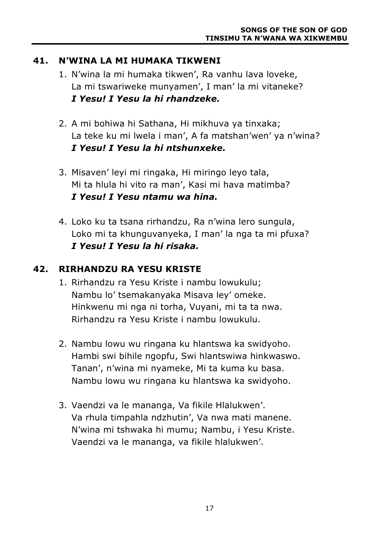## **41. N'WINA LA MI HUMAKA TIKWENI**

- 1. N'wina la mi humaka tikwen', Ra vanhu lava loveke, La mi tswariweke munyamen', I man' la mi vitaneke? *I Yesu! I Yesu la hi rhandzeke.*
- 2. A mi bohiwa hi Sathana, Hi mikhuva ya tinxaka; La teke ku mi lwela i man', A fa matshan'wen' ya n'wina? *I Yesu! I Yesu la hi ntshunxeke.*
- 3. Misaven' leyi mi ringaka, Hi miringo leyo tala, Mi ta hlula hi vito ra man', Kasi mi hava matimba? *I Yesu! I Yesu ntamu wa hina.*
- 4. Loko ku ta tsana rirhandzu, Ra n'wina lero sungula, Loko mi ta khunguvanyeka, I man' la nga ta mi pfuxa? *I Yesu! I Yesu la hi risaka.*

## **42. RIRHANDZU RA YESU KRISTE**

- 1. Rirhandzu ra Yesu Kriste i nambu lowukulu; Nambu lo' tsemakanyaka Misava ley' omeke. Hinkwenu mi nga ni torha, Vuyani, mi ta ta nwa. Rirhandzu ra Yesu Kriste i nambu lowukulu.
- 2. Nambu lowu wu ringana ku hlantswa ka swidyoho. Hambi swi bihile ngopfu, Swi hlantswiwa hinkwaswo. Tanan', n'wina mi nyameke, Mi ta kuma ku basa. Nambu lowu wu ringana ku hlantswa ka swidyoho.
- 3. Vaendzi va le mananga, Va fikile Hlalukwen'. Va rhula timpahla ndzhutin', Va nwa mati manene. N'wina mi tshwaka hi mumu; Nambu, i Yesu Kriste. Vaendzi va le mananga, va fikile hlalukwen'.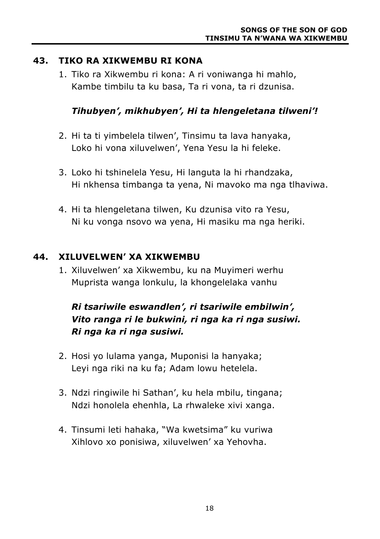#### **43. TIKO RA XIKWEMBU RI KONA**

1. Tiko ra Xikwembu ri kona: A ri voniwanga hi mahlo, Kambe timbilu ta ku basa, Ta ri vona, ta ri dzunisa.

## *Tihubyen', mikhubyen', Hi ta hlengeletana tilweni'!*

- 2. Hi ta ti yimbelela tilwen', Tinsimu ta lava hanyaka, Loko hi vona xiluvelwen', Yena Yesu la hi feleke.
- 3. Loko hi tshinelela Yesu, Hi languta la hi rhandzaka, Hi nkhensa timbanga ta yena, Ni mavoko ma nga tlhaviwa.
- 4. Hi ta hlengeletana tilwen, Ku dzunisa vito ra Yesu, Ni ku vonga nsovo wa yena, Hi masiku ma nga heriki.

## **44. XILUVELWEN' XA XIKWEMBU**

1. Xiluvelwen' xa Xikwembu, ku na Muyimeri werhu Muprista wanga lonkulu, la khongelelaka vanhu

# *Ri tsariwile eswandlen', ri tsariwile embilwin', Vito ranga ri le bukwini, ri nga ka ri nga susiwi. Ri nga ka ri nga susiwi.*

- 2. Hosi yo lulama yanga, Muponisi la hanyaka; Leyi nga riki na ku fa; Adam lowu hetelela.
- 3. Ndzi ringiwile hi Sathan', ku hela mbilu, tingana; Ndzi honolela ehenhla, La rhwaleke xivi xanga.
- 4. Tinsumi leti hahaka, "Wa kwetsima" ku vuriwa Xihlovo xo ponisiwa, xiluvelwen' xa Yehovha.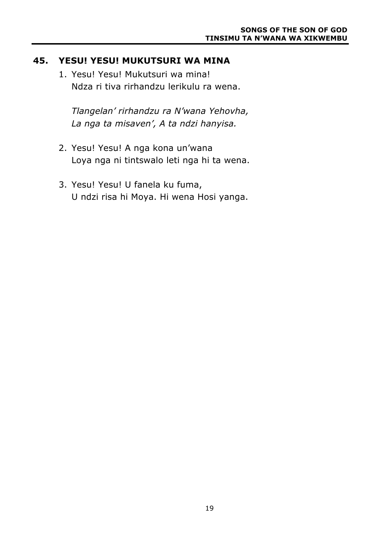#### **45. YESU! YESU! MUKUTSURI WA MINA**

1. Yesu! Yesu! Mukutsuri wa mina! Ndza ri tiva rirhandzu lerikulu ra wena.

*Tlangelan' rirhandzu ra N'wana Yehovha, La nga ta misaven', A ta ndzi hanyisa.*

- 2. Yesu! Yesu! A nga kona un'wana Loya nga ni tintswalo leti nga hi ta wena.
- 3. Yesu! Yesu! U fanela ku fuma, U ndzi risa hi Moya. Hi wena Hosi yanga.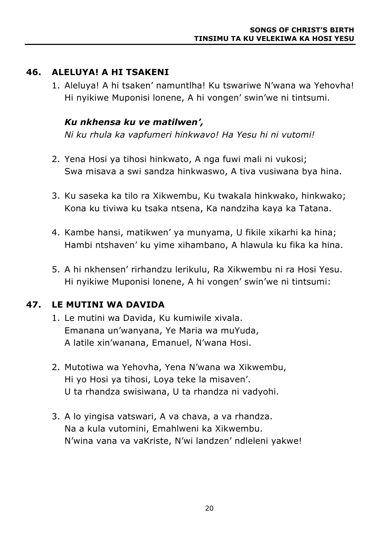## **46. ALELUYA! A HI TSAKENI**

1. Aleluya! A hi tsaken' namuntlha! Ku tswariwe N'wana wa Yehovha! Hi nyikiwe Muponisi lonene, A hi vongen' swin'we ni tintsumi.

## *Ku nkhensa ku ve matilwen',*

*Ni ku rhula ka vapfumeri hinkwavo! Ha Yesu hi ni vutomi!*

- 2. Yena Hosi ya tihosi hinkwato, A nga fuwi mali ni vukosi; Swa misava a swi sandza hinkwaswo, A tiva vusiwana bya hina.
- 3. Ku saseka ka tilo ra Xikwembu, Ku twakala hinkwako, hinkwako; Kona ku tiviwa ku tsaka ntsena, Ka nandziha kaya ka Tatana.
- 4. Kambe hansi, matikwen' ya munyama, U fikile xikarhi ka hina; Hambi ntshaven' ku yime xihambano, A hlawula ku fika ka hina.
- 5. A hi nkhensen' rirhandzu lerikulu, Ra Xikwembu ni ra Hosi Yesu. Hi nyikiwe Muponisi lonene, A hi vongen' swin'we ni tintsumi:

## **47. LE MUTINI WA DAVIDA**

- 1. Le mutini wa Davida, Ku kumiwile xivala. Emanana un'wanyana, Ye Maria wa muYuda, A latile xin'wanana, Emanuel, N'wana Hosi.
- 2. Mutotiwa wa Yehovha, Yena N'wana wa Xikwembu, Hi yo Hosi ya tihosi, Loya teke la misaven'. U ta rhandza swisiwana, U ta rhandza ni vadyohi.
- 3. A lo yingisa vatswari, A va chava, a va rhandza. Na a kula vutomini, Emahlweni ka Xikwembu. N'wina vana va vaKriste, N'wi landzen' ndleleni yakwe!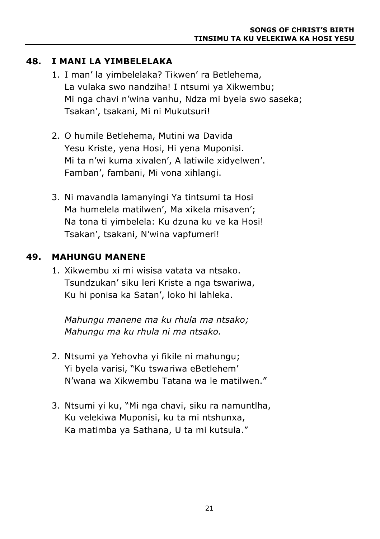#### **48. I MANI LA YIMBELELAKA**

- 1. I man' la yimbelelaka? Tikwen' ra Betlehema, La vulaka swo nandziha! I ntsumi ya Xikwembu; Mi nga chavi n'wina vanhu, Ndza mi byela swo saseka; Tsakan', tsakani, Mi ni Mukutsuri!
- 2. O humile Betlehema, Mutini wa Davida Yesu Kriste, yena Hosi, Hi yena Muponisi. Mi ta n'wi kuma xivalen', A latiwile xidyelwen'. Famban', fambani, Mi vona xihlangi.
- 3. Ni mavandla lamanyingi Ya tintsumi ta Hosi Ma humelela matilwen', Ma xikela misaven'; Na tona ti yimbelela: Ku dzuna ku ve ka Hosi! Tsakan', tsakani, N'wina vapfumeri!

## **49. MAHUNGU MANENE**

1. Xikwembu xi mi wisisa vatata va ntsako. Tsundzukan' siku leri Kriste a nga tswariwa, Ku hi ponisa ka Satan', loko hi lahleka.

*Mahungu manene ma ku rhula ma ntsako; Mahungu ma ku rhula ni ma ntsako.*

- 2. Ntsumi ya Yehovha yi fikile ni mahungu; Yi byela varisi, "Ku tswariwa eBetlehem' N'wana wa Xikwembu Tatana wa le matilwen."
- 3. Ntsumi yi ku, "Mi nga chavi, siku ra namuntlha, Ku velekiwa Muponisi, ku ta mi ntshunxa, Ka matimba ya Sathana, U ta mi kutsula."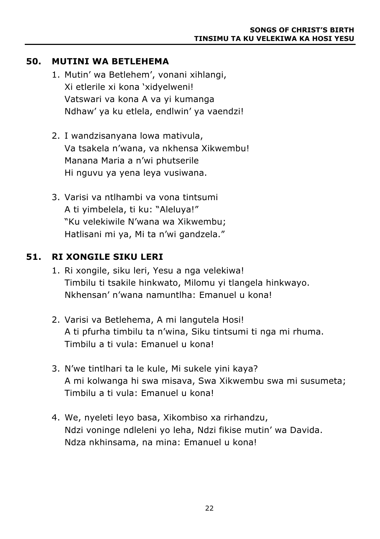#### **50. MUTINI WA BETLEHEMA**

- 1. Mutin' wa Betlehem', vonani xihlangi, Xi etlerile xi kona 'xidyelweni! Vatswari va kona A va yi kumanga Ndhaw' ya ku etlela, endlwin' ya vaendzi!
- 2. I wandzisanyana lowa mativula, Va tsakela n'wana, va nkhensa Xikwembu! Manana Maria a n'wi phutserile Hi nguvu ya yena leya vusiwana.
- 3. Varisi va ntlhambi va vona tintsumi A ti yimbelela, ti ku: "Aleluya!" "Ku velekiwile N'wana wa Xikwembu; Hatlisani mi ya, Mi ta n'wi gandzela."

## **51. RI XONGILE SIKU LERI**

- 1. Ri xongile, siku leri, Yesu a nga velekiwa! Timbilu ti tsakile hinkwato, Milomu yi tlangela hinkwayo. Nkhensan' n'wana namuntlha: Emanuel u kona!
- 2. Varisi va Betlehema, A mi langutela Hosi! A ti pfurha timbilu ta n'wina, Siku tintsumi ti nga mi rhuma. Timbilu a ti vula: Emanuel u kona!
- 3. N'we tintlhari ta le kule, Mi sukele yini kaya? A mi kolwanga hi swa misava, Swa Xikwembu swa mi susumeta; Timbilu a ti vula: Emanuel u kona!
- 4. We, nyeleti leyo basa, Xikombiso xa rirhandzu, Ndzi voninge ndleleni yo leha, Ndzi fikise mutin' wa Davida. Ndza nkhinsama, na mina: Emanuel u kona!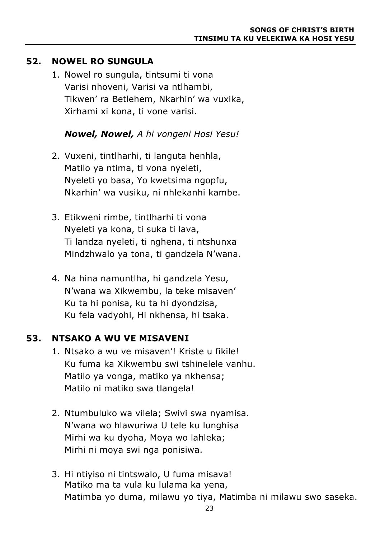#### **52. NOWEL RO SUNGULA**

1. Nowel ro sungula, tintsumi ti vona Varisi nhoveni, Varisi va ntlhambi, Tikwen' ra Betlehem, Nkarhin' wa vuxika, Xirhami xi kona, ti vone varisi.

#### *Nowel, Nowel, A hi vongeni Hosi Yesu!*

- 2. Vuxeni, tintlharhi, ti languta henhla, Matilo ya ntima, ti vona nyeleti, Nyeleti yo basa, Yo kwetsima ngopfu, Nkarhin' wa vusiku, ni nhlekanhi kambe.
- 3. Etikweni rimbe, tintlharhi ti vona Nyeleti ya kona, ti suka ti lava, Ti landza nyeleti, ti nghena, ti ntshunxa Mindzhwalo ya tona, ti gandzela N'wana.
- 4. Na hina namuntlha, hi gandzela Yesu, N'wana wa Xikwembu, la teke misaven' Ku ta hi ponisa, ku ta hi dyondzisa, Ku fela vadyohi, Hi nkhensa, hi tsaka.

## **53. NTSAKO A WU VE MISAVENI**

- 1. Ntsako a wu ve misaven'! Kriste u fikile! Ku fuma ka Xikwembu swi tshinelele vanhu. Matilo ya vonga, matiko ya nkhensa; Matilo ni matiko swa tlangela!
- 2. Ntumbuluko wa vilela; Swivi swa nyamisa. N'wana wo hlawuriwa U tele ku lunghisa Mirhi wa ku dyoha, Moya wo lahleka; Mirhi ni moya swi nga ponisiwa.
- 3. Hi ntiyiso ni tintswalo, U fuma misava! Matiko ma ta vula ku lulama ka yena, Matimba yo duma, milawu yo tiya, Matimba ni milawu swo saseka.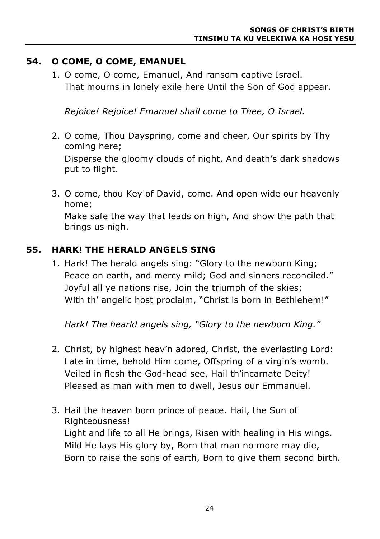#### **54. O COME, O COME, EMANUEL**

1. O come, O come, Emanuel, And ransom captive Israel. That mourns in lonely exile here Until the Son of God appear.

*Rejoice! Rejoice! Emanuel shall come to Thee, O Israel.*

- 2. O come, Thou Dayspring, come and cheer, Our spirits by Thy coming here; Disperse the gloomy clouds of night, And death's dark shadows put to flight.
- 3. O come, thou Key of David, come. And open wide our heavenly home; Make safe the way that leads on high, And show the path that

brings us nigh.

## **55. HARK! THE HERALD ANGELS SING**

1. Hark! The herald angels sing: "Glory to the newborn King; Peace on earth, and mercy mild; God and sinners reconciled." Joyful all ye nations rise, Join the triumph of the skies; With th' angelic host proclaim, "Christ is born in Bethlehem!"

*Hark! The hearld angels sing, "Glory to the newborn King."*

- 2. Christ, by highest heav'n adored, Christ, the everlasting Lord: Late in time, behold Him come, Offspring of a virgin's womb. Veiled in flesh the God-head see, Hail th'incarnate Deity! Pleased as man with men to dwell, Jesus our Emmanuel.
- 3. Hail the heaven born prince of peace. Hail, the Sun of Righteousness! Light and life to all He brings, Risen with healing in His wings. Mild He lays His glory by, Born that man no more may die, Born to raise the sons of earth, Born to give them second birth.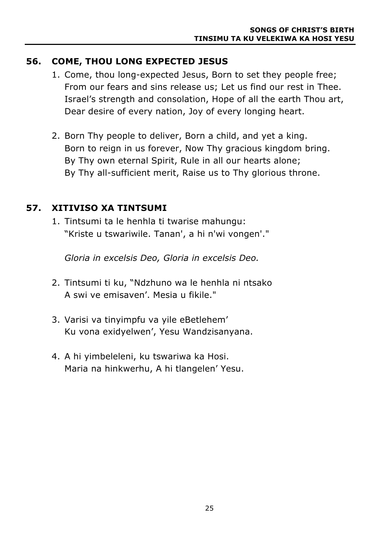#### **56. COME, THOU LONG EXPECTED JESUS**

- 1. Come, thou long-expected Jesus, Born to set they people free; From our fears and sins release us; Let us find our rest in Thee. Israel's strength and consolation, Hope of all the earth Thou art, Dear desire of every nation, Joy of every longing heart.
- 2. Born Thy people to deliver, Born a child, and yet a king. Born to reign in us forever, Now Thy gracious kingdom bring. By Thy own eternal Spirit, Rule in all our hearts alone; By Thy all-sufficient merit, Raise us to Thy glorious throne.

# **57. XITIVISO XA TINTSUMI**

1. Tintsumi ta le henhla ti twarise mahungu: "Kriste u tswariwile. Tanan', a hi n'wi vongen'."

*Gloria in excelsis Deo, Gloria in excelsis Deo.*

- 2. Tintsumi ti ku, "Ndzhuno wa le henhla ni ntsako A swi ve emisaven'. Mesia u fikile."
- 3. Varisi va tinyimpfu va yile eBetlehem' Ku vona exidyelwen', Yesu Wandzisanyana.
- 4. A hi yimbeleleni, ku tswariwa ka Hosi. Maria na hinkwerhu, A hi tlangelen' Yesu.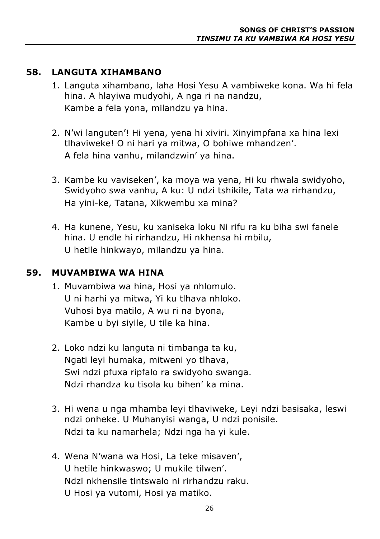## **58. LANGUTA XIHAMBANO**

- 1. Languta xihambano, laha Hosi Yesu A vambiweke kona. Wa hi fela hina. A hlayiwa mudyohi, A nga ri na nandzu, Kambe a fela yona, milandzu ya hina.
- 2. N'wi languten'! Hi yena, yena hi xiviri. Xinyimpfana xa hina lexi tlhaviweke! O ni hari ya mitwa, O bohiwe mhandzen'. A fela hina vanhu, milandzwin' ya hina.
- 3. Kambe ku vaviseken', ka moya wa yena, Hi ku rhwala swidyoho, Swidyoho swa vanhu, A ku: U ndzi tshikile, Tata wa rirhandzu, Ha yini-ke, Tatana, Xikwembu xa mina?
- 4. Ha kunene, Yesu, ku xaniseka loku Ni rifu ra ku biha swi fanele hina. U endle hi rirhandzu, Hi nkhensa hi mbilu, U hetile hinkwayo, milandzu ya hina.

## **59. MUVAMBIWA WA HINA**

- 1. Muvambiwa wa hina, Hosi ya nhlomulo. U ni harhi ya mitwa, Yi ku tlhava nhloko. Vuhosi bya matilo, A wu ri na byona, Kambe u byi siyile, U tile ka hina.
- 2. Loko ndzi ku languta ni timbanga ta ku, Ngati leyi humaka, mitweni yo tlhava, Swi ndzi pfuxa ripfalo ra swidyoho swanga. Ndzi rhandza ku tisola ku bihen' ka mina.
- 3. Hi wena u nga mhamba leyi tlhaviweke, Leyi ndzi basisaka, leswi ndzi onheke. U Muhanyisi wanga, U ndzi ponisile. Ndzi ta ku namarhela; Ndzi nga ha yi kule.
- 4. Wena N'wana wa Hosi, La teke misaven', U hetile hinkwaswo; U mukile tilwen'. Ndzi nkhensile tintswalo ni rirhandzu raku. U Hosi ya vutomi, Hosi ya matiko.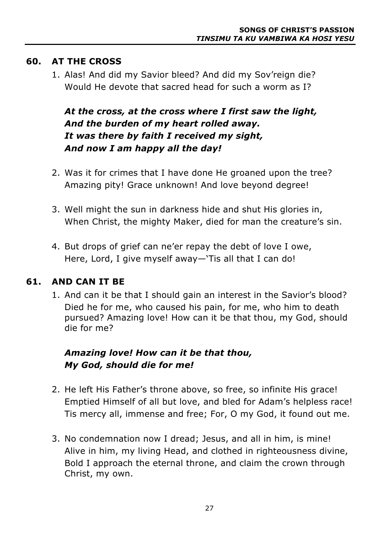#### **60. AT THE CROSS**

1. Alas! And did my Savior bleed? And did my Sov'reign die? Would He devote that sacred head for such a worm as I?

# *At the cross, at the cross where I first saw the light, And the burden of my heart rolled away. It was there by faith I received my sight, And now I am happy all the day!*

- 2. Was it for crimes that I have done He groaned upon the tree? Amazing pity! Grace unknown! And love beyond degree!
- 3. Well might the sun in darkness hide and shut His glories in, When Christ, the mighty Maker, died for man the creature's sin.
- 4. But drops of grief can ne'er repay the debt of love I owe, Here, Lord, I give myself away—'Tis all that I can do!

## **61. AND CAN IT BE**

1. And can it be that I should gain an interest in the Savior's blood? Died he for me, who caused his pain, for me, who him to death pursued? Amazing love! How can it be that thou, my God, should die for me?

# *Amazing love! How can it be that thou, My God, should die for me!*

- 2. He left His Father's throne above, so free, so infinite His grace! Emptied Himself of all but love, and bled for Adam's helpless race! Tis mercy all, immense and free; For, O my God, it found out me.
- 3. No condemnation now I dread; Jesus, and all in him, is mine! Alive in him, my living Head, and clothed in righteousness divine, Bold I approach the eternal throne, and claim the crown through Christ, my own.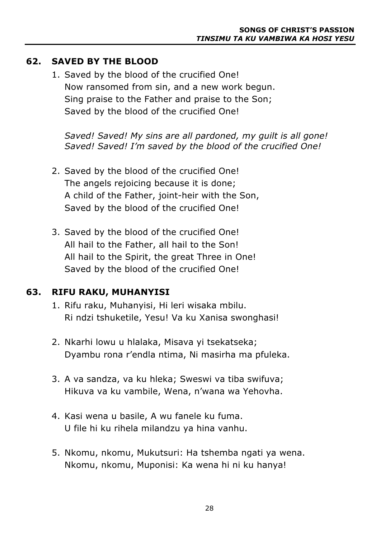#### **62. SAVED BY THE BLOOD**

1. Saved by the blood of the crucified One! Now ransomed from sin, and a new work begun. Sing praise to the Father and praise to the Son; Saved by the blood of the crucified One!

*Saved! Saved! My sins are all pardoned, my guilt is all gone! Saved! Saved! I'm saved by the blood of the crucified One!*

- 2. Saved by the blood of the crucified One! The angels rejoicing because it is done; A child of the Father, joint-heir with the Son, Saved by the blood of the crucified One!
- 3. Saved by the blood of the crucified One! All hail to the Father, all hail to the Son! All hail to the Spirit, the great Three in One! Saved by the blood of the crucified One!

#### **63. RIFU RAKU, MUHANYISI**

- 1. Rifu raku, Muhanyisi, Hi leri wisaka mbilu. Ri ndzi tshuketile, Yesu! Va ku Xanisa swonghasi!
- 2. Nkarhi lowu u hlalaka, Misava yi tsekatseka; Dyambu rona r'endla ntima, Ni masirha ma pfuleka.
- 3. A va sandza, va ku hleka; Sweswi va tiba swifuva; Hikuva va ku vambile, Wena, n'wana wa Yehovha.
- 4. Kasi wena u basile, A wu fanele ku fuma. U file hi ku rihela milandzu ya hina vanhu.
- 5. Nkomu, nkomu, Mukutsuri: Ha tshemba ngati ya wena. Nkomu, nkomu, Muponisi: Ka wena hi ni ku hanya!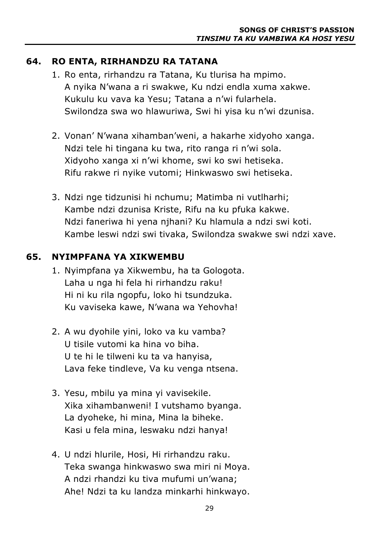#### **64. RO ENTA, RIRHANDZU RA TATANA**

- 1. Ro enta, rirhandzu ra Tatana, Ku tlurisa ha mpimo. A nyika N'wana a ri swakwe, Ku ndzi endla xuma xakwe. Kukulu ku vava ka Yesu; Tatana a n'wi fularhela. Swilondza swa wo hlawuriwa, Swi hi yisa ku n'wi dzunisa.
- 2. Vonan' N'wana xihamban'weni, a hakarhe xidyoho xanga. Ndzi tele hi tingana ku twa, rito ranga ri n'wi sola. Xidyoho xanga xi n'wi khome, swi ko swi hetiseka. Rifu rakwe ri nyike vutomi; Hinkwaswo swi hetiseka.
- 3. Ndzi nge tidzunisi hi nchumu; Matimba ni vutlharhi; Kambe ndzi dzunisa Kriste, Rifu na ku pfuka kakwe. Ndzi faneriwa hi yena njhani? Ku hlamula a ndzi swi koti. Kambe leswi ndzi swi tivaka, Swilondza swakwe swi ndzi xave.

## **65. NYIMPFANA YA XIKWEMBU**

- 1. Nyimpfana ya Xikwembu, ha ta Gologota. Laha u nga hi fela hi rirhandzu raku! Hi ni ku rila ngopfu, loko hi tsundzuka. Ku vaviseka kawe, N'wana wa Yehovha!
- 2. A wu dyohile yini, loko va ku vamba? U tisile vutomi ka hina vo biha. U te hi le tilweni ku ta va hanyisa, Lava feke tindleve, Va ku venga ntsena.
- 3. Yesu, mbilu ya mina yi vavisekile. Xika xihambanweni! I vutshamo byanga. La dyoheke, hi mina, Mina la biheke. Kasi u fela mina, leswaku ndzi hanya!
- 4. U ndzi hlurile, Hosi, Hi rirhandzu raku. Teka swanga hinkwaswo swa miri ni Moya. A ndzi rhandzi ku tiva mufumi un'wana; Ahe! Ndzi ta ku landza minkarhi hinkwayo.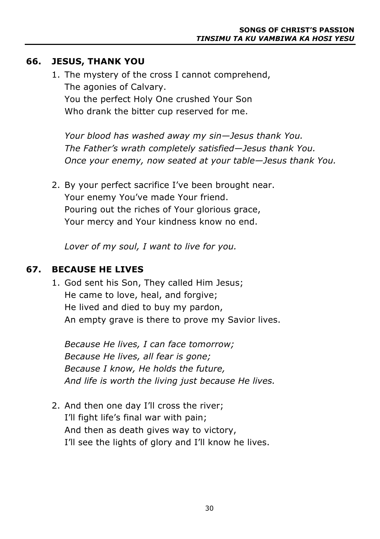#### **66. JESUS, THANK YOU**

1. The mystery of the cross I cannot comprehend, The agonies of Calvary. You the perfect Holy One crushed Your Son Who drank the bitter cup reserved for me.

*Your blood has washed away my sin—Jesus thank You. The Father's wrath completely satisfied—Jesus thank You. Once your enemy, now seated at your table—Jesus thank You.*

2. By your perfect sacrifice I've been brought near. Your enemy You've made Your friend. Pouring out the riches of Your glorious grace, Your mercy and Your kindness know no end.

*Lover of my soul, I want to live for you.*

## **67. BECAUSE HE LIVES**

1. God sent his Son, They called Him Jesus; He came to love, heal, and forgive; He lived and died to buy my pardon, An empty grave is there to prove my Savior lives.

*Because He lives, I can face tomorrow; Because He lives, all fear is gone; Because I know, He holds the future, And life is worth the living just because He lives.*

2. And then one day I'll cross the river; I'll fight life's final war with pain; And then as death gives way to victory, I'll see the lights of glory and I'll know he lives.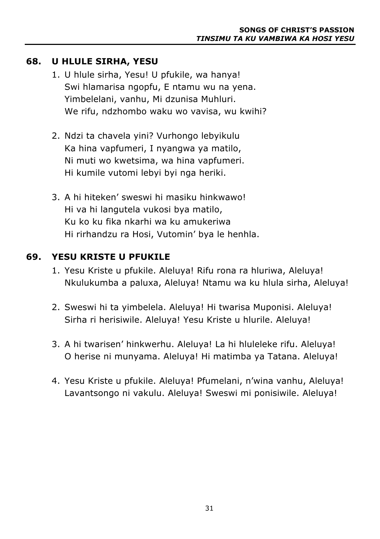#### **68. U HLULE SIRHA, YESU**

- 1. U hlule sirha, Yesu! U pfukile, wa hanya! Swi hlamarisa ngopfu, E ntamu wu na yena. Yimbelelani, vanhu, Mi dzunisa Muhluri. We rifu, ndzhombo waku wo vavisa, wu kwihi?
- 2. Ndzi ta chavela yini? Vurhongo lebyikulu Ka hina vapfumeri, I nyangwa ya matilo, Ni muti wo kwetsima, wa hina vapfumeri. Hi kumile vutomi lebyi byi nga heriki.
- 3. A hi hiteken' sweswi hi masiku hinkwawo! Hi va hi langutela vukosi bya matilo, Ku ko ku fika nkarhi wa ku amukeriwa Hi rirhandzu ra Hosi, Vutomin' bya le henhla.

# **69. YESU KRISTE U PFUKILE**

- 1. Yesu Kriste u pfukile. Aleluya! Rifu rona ra hluriwa, Aleluya! Nkulukumba a paluxa, Aleluya! Ntamu wa ku hlula sirha, Aleluya!
- 2. Sweswi hi ta yimbelela. Aleluya! Hi twarisa Muponisi. Aleluya! Sirha ri herisiwile. Aleluya! Yesu Kriste u hlurile. Aleluya!
- 3. A hi twarisen' hinkwerhu. Aleluya! La hi hluleleke rifu. Aleluya! O herise ni munyama. Aleluya! Hi matimba ya Tatana. Aleluya!
- 4. Yesu Kriste u pfukile. Aleluya! Pfumelani, n'wina vanhu, Aleluya! Lavantsongo ni vakulu. Aleluya! Sweswi mi ponisiwile. Aleluya!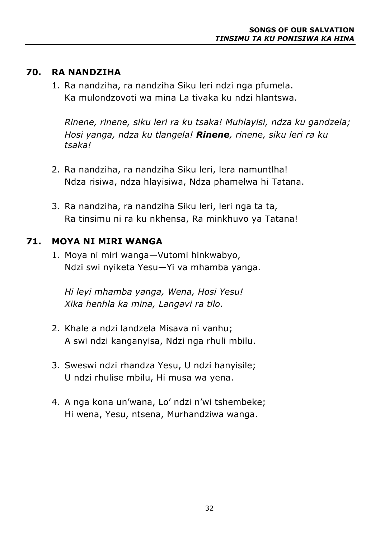#### **70. RA NANDZIHA**

1. Ra nandziha, ra nandziha Siku leri ndzi nga pfumela. Ka mulondzovoti wa mina La tivaka ku ndzi hlantswa.

*Rinene, rinene, siku leri ra ku tsaka! Muhlayisi, ndza ku gandzela; Hosi yanga, ndza ku tlangela! Rinene, rinene, siku leri ra ku tsaka!*

- 2. Ra nandziha, ra nandziha Siku leri, lera namuntlha! Ndza risiwa, ndza hlayisiwa, Ndza phamelwa hi Tatana.
- 3. Ra nandziha, ra nandziha Siku leri, leri nga ta ta, Ra tinsimu ni ra ku nkhensa, Ra minkhuvo ya Tatana!

#### **71. MOYA NI MIRI WANGA**

1. Moya ni miri wanga—Vutomi hinkwabyo, Ndzi swi nyiketa Yesu—Yi va mhamba yanga.

*Hi leyi mhamba yanga, Wena, Hosi Yesu! Xika henhla ka mina, Langavi ra tilo.*

- 2. Khale a ndzi landzela Misava ni vanhu; A swi ndzi kanganyisa, Ndzi nga rhuli mbilu.
- 3. Sweswi ndzi rhandza Yesu, U ndzi hanyisile; U ndzi rhulise mbilu, Hi musa wa yena.
- 4. A nga kona un'wana, Lo' ndzi n'wi tshembeke; Hi wena, Yesu, ntsena, Murhandziwa wanga.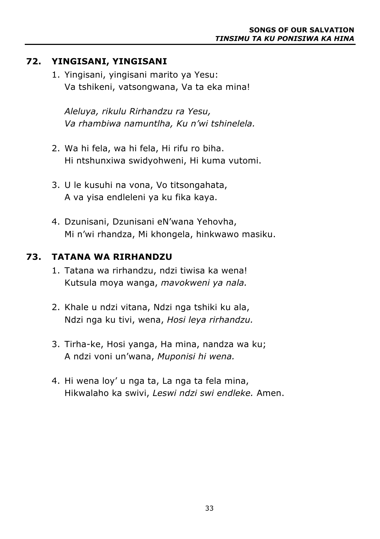## **72. YINGISANI, YINGISANI**

1. Yingisani, yingisani marito ya Yesu: Va tshikeni, vatsongwana, Va ta eka mina!

*Aleluya, rikulu Rirhandzu ra Yesu, Va rhambiwa namuntlha, Ku n'wi tshinelela.*

- 2. Wa hi fela, wa hi fela, Hi rifu ro biha. Hi ntshunxiwa swidyohweni, Hi kuma vutomi.
- 3. U le kusuhi na vona, Vo titsongahata, A va yisa endleleni ya ku fika kaya.
- 4. Dzunisani, Dzunisani eN'wana Yehovha, Mi n'wi rhandza, Mi khongela, hinkwawo masiku.

## **73. TATANA WA RIRHANDZU**

- 1. Tatana wa rirhandzu, ndzi tiwisa ka wena! Kutsula moya wanga, *mavokweni ya nala.*
- 2. Khale u ndzi vitana, Ndzi nga tshiki ku ala, Ndzi nga ku tivi, wena, *Hosi leya rirhandzu.*
- 3. Tirha-ke, Hosi yanga, Ha mina, nandza wa ku; A ndzi voni un'wana, *Muponisi hi wena.*
- 4. Hi wena loy' u nga ta, La nga ta fela mina, Hikwalaho ka swivi, *Leswi ndzi swi endleke.* Amen.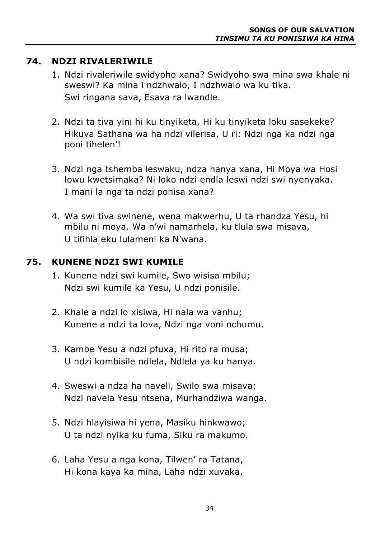#### **74. NDZI RIVALERIWILE**

- 1. Ndzi rivaleriwile swidyoho xana? Swidyoho swa mina swa khale ni sweswi? Ka mina i ndzhwalo, I ndzhwalo wa ku tika. Swi ringana sava, Esava ra lwandle.
- 2. Ndzi ta tiva yini hi ku tinyiketa, Hi ku tinyiketa loku sasekeke? Hikuva Sathana wa ha ndzi vilerisa, U ri: Ndzi nga ka ndzi nga poni tihelen'!
- 3. Ndzi nga tshemba leswaku, ndza hanya xana, Hi Moya wa Hosi lowu kwetsimaka? Ni loko ndzi endla leswi ndzi swi nyenyaka. I mani la nga ta ndzi ponisa xana?
- 4. Wa swi tiva swinene, wena makwerhu, U ta rhandza Yesu, hi mbilu ni moya. Wa n'wi namarhela, ku tlula swa misava, U tifihla eku lulameni ka N'wana.

#### **75. KUNENE NDZI SWI KUMILE**

- 1. Kunene ndzi swi kumile, Swo wisisa mbilu; Ndzi swi kumile ka Yesu, U ndzi ponisile.
- 2. Khale a ndzi lo xisiwa, Hi nala wa vanhu; Kunene a ndzi ta lova, Ndzi nga voni nchumu.
- 3. Kambe Yesu a ndzi pfuxa, Hi rito ra musa; U ndzi kombisile ndlela, Ndlela ya ku hanya.
- 4. Sweswi a ndza ha naveli, Swilo swa misava; Ndzi navela Yesu ntsena, Murhandziwa wanga.
- 5. Ndzi hlayisiwa hi yena, Masiku hinkwawo; U ta ndzi nyika ku fuma, Siku ra makumo.
- 6. Laha Yesu a nga kona, Tilwen' ra Tatana, Hi kona kaya ka mina, Laha ndzi xuvaka.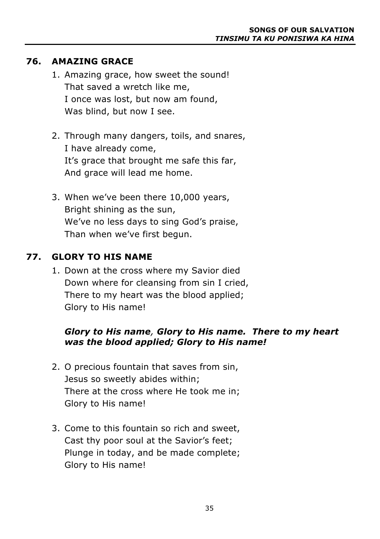## **76. AMAZING GRACE**

- 1. Amazing grace, how sweet the sound! That saved a wretch like me, I once was lost, but now am found, Was blind, but now I see.
- 2. Through many dangers, toils, and snares, I have already come, It's grace that brought me safe this far, And grace will lead me home.
- 3. When we've been there 10,000 years, Bright shining as the sun, We've no less days to sing God's praise, Than when we've first begun.

# **77. GLORY TO HIS NAME**

1. Down at the cross where my Savior died Down where for cleansing from sin I cried, There to my heart was the blood applied; Glory to His name!

# *Glory to His name, Glory to His name. There to my heart was the blood applied; Glory to His name!*

- 2. O precious fountain that saves from sin, Jesus so sweetly abides within; There at the cross where He took me in; Glory to His name!
- 3. Come to this fountain so rich and sweet, Cast thy poor soul at the Savior's feet; Plunge in today, and be made complete; Glory to His name!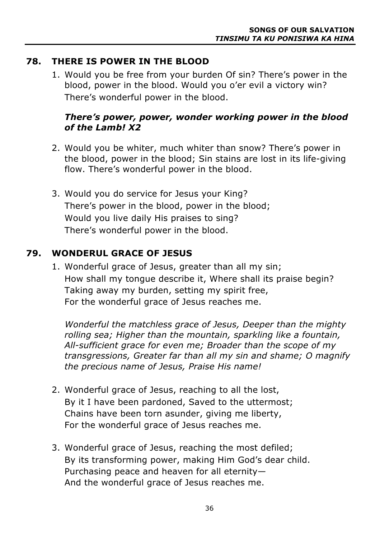### **78. THERE IS POWER IN THE BLOOD**

1. Would you be free from your burden Of sin? There's power in the blood, power in the blood. Would you o'er evil a victory win? There's wonderful power in the blood.

# *There's power, power, wonder working power in the blood of the Lamb! X2*

- 2. Would you be whiter, much whiter than snow? There's power in the blood, power in the blood; Sin stains are lost in its life-giving flow. There's wonderful power in the blood.
- 3. Would you do service for Jesus your King? There's power in the blood, power in the blood; Would you live daily His praises to sing? There's wonderful power in the blood.

# **79. WONDERUL GRACE OF JESUS**

1. Wonderful grace of Jesus, greater than all my sin; How shall my tongue describe it, Where shall its praise begin? Taking away my burden, setting my spirit free, For the wonderful grace of Jesus reaches me.

 *Wonderful the matchless grace of Jesus, Deeper than the mighty rolling sea; Higher than the mountain, sparkling like a fountain, All-sufficient grace for even me; Broader than the scope of my transgressions, Greater far than all my sin and shame; O magnify the precious name of Jesus, Praise His name!*

- 2. Wonderful grace of Jesus, reaching to all the lost, By it I have been pardoned, Saved to the uttermost; Chains have been torn asunder, giving me liberty, For the wonderful grace of Jesus reaches me.
- 3. Wonderful grace of Jesus, reaching the most defiled; By its transforming power, making Him God's dear child. Purchasing peace and heaven for all eternity— And the wonderful grace of Jesus reaches me.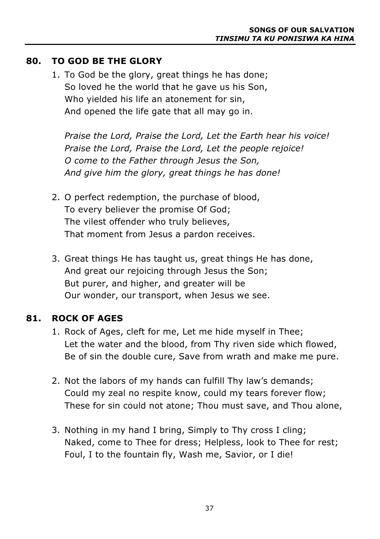### **80. TO GOD BE THE GLORY**

1. To God be the glory, great things he has done; So loved he the world that he gave us his Son, Who yielded his life an atonement for sin, And opened the life gate that all may go in.

*Praise the Lord, Praise the Lord, Let the Earth hear his voice! Praise the Lord, Praise the Lord, Let the people rejoice! O come to the Father through Jesus the Son, And give him the glory, great things he has done!*

- 2. O perfect redemption, the purchase of blood, To every believer the promise Of God; The vilest offender who truly believes, That moment from Jesus a pardon receives.
- 3. Great things He has taught us, great things He has done, And great our rejoicing through Jesus the Son; But purer, and higher, and greater will be Our wonder, our transport, when Jesus we see.

# **81. ROCK OF AGES**

- 1. Rock of Ages, cleft for me, Let me hide myself in Thee; Let the water and the blood, from Thy riven side which flowed, Be of sin the double cure, Save from wrath and make me pure.
- 2. Not the labors of my hands can fulfill Thy law's demands; Could my zeal no respite know, could my tears forever flow; These for sin could not atone; Thou must save, and Thou alone,
- 3. Nothing in my hand I bring, Simply to Thy cross I cling; Naked, come to Thee for dress; Helpless, look to Thee for rest; Foul, I to the fountain fly, Wash me, Savior, or I die!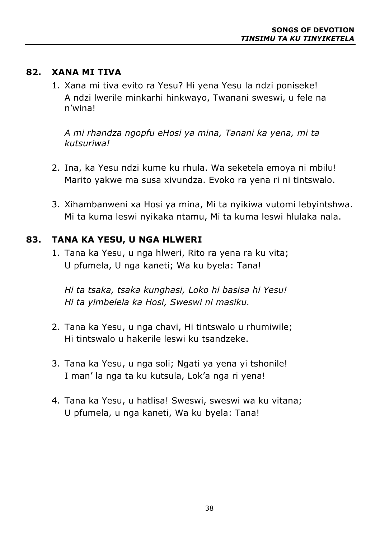### **82. XANA MI TIVA**

1. Xana mi tiva evito ra Yesu? Hi yena Yesu la ndzi poniseke! A ndzi lwerile minkarhi hinkwayo, Twanani sweswi, u fele na n'wina!

*A mi rhandza ngopfu eHosi ya mina, Tanani ka yena, mi ta kutsuriwa!*

- 2. Ina, ka Yesu ndzi kume ku rhula. Wa seketela emoya ni mbilu! Marito yakwe ma susa xivundza. Evoko ra yena ri ni tintswalo.
- 3. Xihambanweni xa Hosi ya mina, Mi ta nyikiwa vutomi lebyintshwa. Mi ta kuma leswi nyikaka ntamu, Mi ta kuma leswi hlulaka nala.

# **83. TANA KA YESU, U NGA HLWERI**

1. Tana ka Yesu, u nga hlweri, Rito ra yena ra ku vita; U pfumela, U nga kaneti; Wa ku byela: Tana!

*Hi ta tsaka, tsaka kunghasi, Loko hi basisa hi Yesu! Hi ta yimbelela ka Hosi, Sweswi ni masiku.*

- 2. Tana ka Yesu, u nga chavi, Hi tintswalo u rhumiwile; Hi tintswalo u hakerile leswi ku tsandzeke.
- 3. Tana ka Yesu, u nga soli; Ngati ya yena yi tshonile! I man' la nga ta ku kutsula, Lok'a nga ri yena!
- 4. Tana ka Yesu, u hatlisa! Sweswi, sweswi wa ku vitana; U pfumela, u nga kaneti, Wa ku byela: Tana!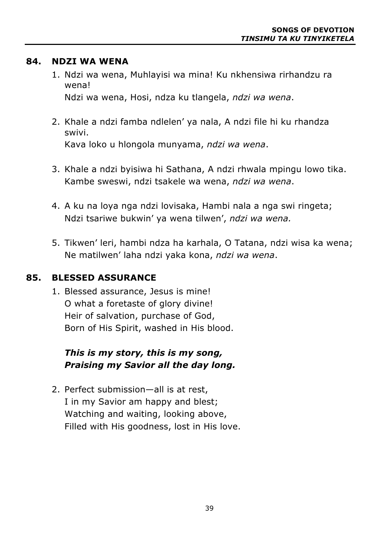#### **84. NDZI WA WENA**

1. Ndzi wa wena, Muhlayisi wa mina! Ku nkhensiwa rirhandzu ra wena!

Ndzi wa wena, Hosi, ndza ku tlangela, *ndzi wa wena*.

- 2. Khale a ndzi famba ndlelen' ya nala, A ndzi file hi ku rhandza swivi. Kava loko u hlongola munyama, *ndzi wa wena*.
- 3. Khale a ndzi byisiwa hi Sathana, A ndzi rhwala mpingu lowo tika. Kambe sweswi, ndzi tsakele wa wena, *ndzi wa wena*.
- 4. A ku na loya nga ndzi lovisaka, Hambi nala a nga swi ringeta; Ndzi tsariwe bukwin' ya wena tilwen', *ndzi wa wena.*
- 5. Tikwen' leri, hambi ndza ha karhala, O Tatana, ndzi wisa ka wena; Ne matilwen' laha ndzi yaka kona, *ndzi wa wena*.

### **85. BLESSED ASSURANCE**

1. Blessed assurance, Jesus is mine! O what a foretaste of glory divine! Heir of salvation, purchase of God, Born of His Spirit, washed in His blood.

# *This is my story, this is my song, Praising my Savior all the day long.*

2. Perfect submission—all is at rest, I in my Savior am happy and blest; Watching and waiting, looking above, Filled with His goodness, lost in His love.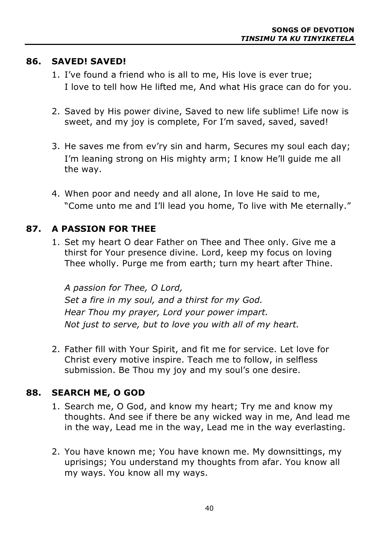#### **86. SAVED! SAVED!**

- 1. I've found a friend who is all to me, His love is ever true; I love to tell how He lifted me, And what His grace can do for you.
- 2. Saved by His power divine, Saved to new life sublime! Life now is sweet, and my joy is complete, For I'm saved, saved, saved!
- 3. He saves me from ev'ry sin and harm, Secures my soul each day; I'm leaning strong on His mighty arm; I know He'll guide me all the way.
- 4. When poor and needy and all alone, In love He said to me, "Come unto me and I'll lead you home, To live with Me eternally."

# **87. A PASSION FOR THEE**

1. Set my heart O dear Father on Thee and Thee only. Give me a thirst for Your presence divine. Lord, keep my focus on loving Thee wholly. Purge me from earth; turn my heart after Thine.

*A passion for Thee, O Lord, Set a fire in my soul, and a thirst for my God. Hear Thou my prayer, Lord your power impart. Not just to serve, but to love you with all of my heart.*

2. Father fill with Your Spirit, and fit me for service. Let love for Christ every motive inspire. Teach me to follow, in selfless submission. Be Thou my joy and my soul's one desire.

# **88. SEARCH ME, O GOD**

- 1. Search me, O God, and know my heart; Try me and know my thoughts. And see if there be any wicked way in me, And lead me in the way, Lead me in the way, Lead me in the way everlasting.
- 2. You have known me; You have known me. My downsittings, my uprisings; You understand my thoughts from afar. You know all my ways. You know all my ways.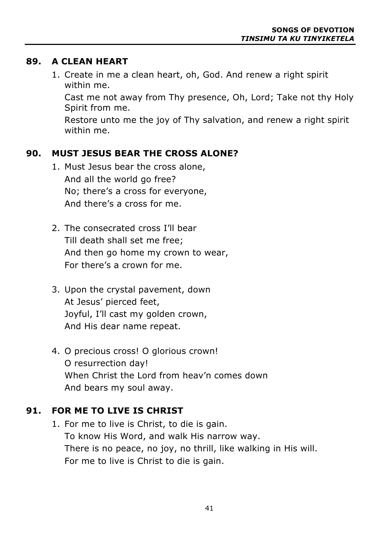#### **89. A CLEAN HEART**

1. Create in me a clean heart, oh, God. And renew a right spirit within me.

Cast me not away from Thy presence, Oh, Lord; Take not thy Holy Spirit from me.

Restore unto me the joy of Thy salvation, and renew a right spirit within me.

# **90. MUST JESUS BEAR THE CROSS ALONE?**

- 1. Must Jesus bear the cross alone, And all the world go free? No; there's a cross for everyone, And there's a cross for me.
- 2. The consecrated cross I'll bear Till death shall set me free; And then go home my crown to wear, For there's a crown for me.
- 3. Upon the crystal pavement, down At Jesus' pierced feet, Joyful, I'll cast my golden crown, And His dear name repeat.
- 4. O precious cross! O glorious crown! O resurrection day! When Christ the Lord from heav'n comes down And bears my soul away.

### **91. FOR ME TO LIVE IS CHRIST**

1. For me to live is Christ, to die is gain. To know His Word, and walk His narrow way. There is no peace, no joy, no thrill, like walking in His will. For me to live is Christ to die is gain.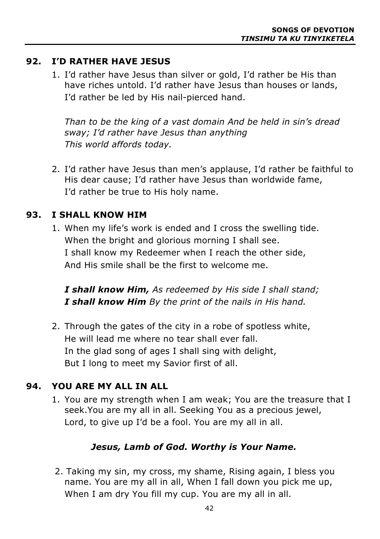### **92. I'D RATHER HAVE JESUS**

1. I'd rather have Jesus than silver or gold, I'd rather be His than have riches untold. I'd rather have Jesus than houses or lands, I'd rather be led by His nail-pierced hand.

*Than to be the king of a vast domain And be held in sin's dread sway; I'd rather have Jesus than anything This world affords today.*

2. I'd rather have Jesus than men's applause, I'd rather be faithful to His dear cause; I'd rather have Jesus than worldwide fame, I'd rather be true to His holy name.

# **93. I SHALL KNOW HIM**

1. When my life's work is ended and I cross the swelling tide. When the bright and glorious morning I shall see. I shall know my Redeemer when I reach the other side, And His smile shall be the first to welcome me.

*I shall know Him, As redeemed by His side I shall stand; I shall know Him By the print of the nails in His hand.* 

2. Through the gates of the city in a robe of spotless white, He will lead me where no tear shall ever fall. In the glad song of ages I shall sing with delight, But I long to meet my Savior first of all.

# **94. YOU ARE MY ALL IN ALL**

1. You are my strength when I am weak; You are the treasure that I seek.You are my all in all. Seeking You as a precious jewel, Lord, to give up I'd be a fool. You are my all in all.

### *Jesus, Lamb of God. Worthy is Your Name.*

2. Taking my sin, my cross, my shame, Rising again, I bless you name. You are my all in all, When I fall down you pick me up, When I am dry You fill my cup. You are my all in all.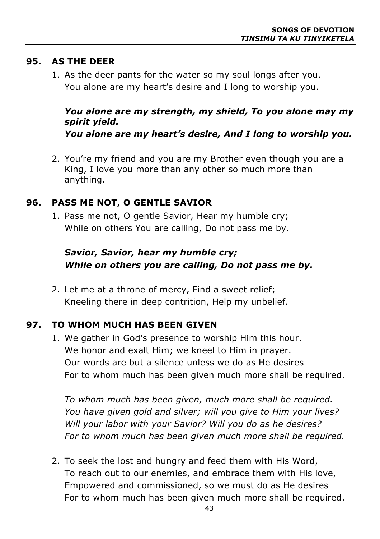#### **95. AS THE DEER**

1. As the deer pants for the water so my soul longs after you. You alone are my heart's desire and I long to worship you.

## *You alone are my strength, my shield, To you alone may my spirit yield. You alone are my heart's desire, And I long to worship you.*

2. You're my friend and you are my Brother even though you are a King, I love you more than any other so much more than anything.

# **96. PASS ME NOT, O GENTLE SAVIOR**

1. Pass me not, O gentle Savior, Hear my humble cry; While on others You are calling, Do not pass me by.

# *Savior, Savior, hear my humble cry; While on others you are calling, Do not pass me by.*

2. Let me at a throne of mercy, Find a sweet relief; Kneeling there in deep contrition, Help my unbelief.

### **97. TO WHOM MUCH HAS BEEN GIVEN**

1. We gather in God's presence to worship Him this hour. We honor and exalt Him; we kneel to Him in prayer. Our words are but a silence unless we do as He desires For to whom much has been given much more shall be required.

*To whom much has been given, much more shall be required. You have given gold and silver; will you give to Him your lives? Will your labor with your Savior? Will you do as he desires? For to whom much has been given much more shall be required.*

2. To seek the lost and hungry and feed them with His Word, To reach out to our enemies, and embrace them with His love, Empowered and commissioned, so we must do as He desires For to whom much has been given much more shall be required.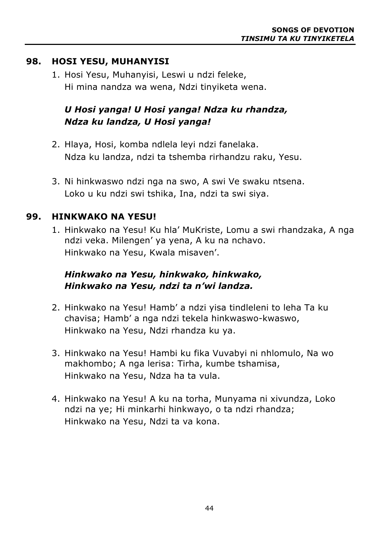#### **98. HOSI YESU, MUHANYISI**

1. Hosi Yesu, Muhanyisi, Leswi u ndzi feleke, Hi mina nandza wa wena, Ndzi tinyiketa wena.

# *U Hosi yanga! U Hosi yanga! Ndza ku rhandza, Ndza ku landza, U Hosi yanga!*

- 2. Hlaya, Hosi, komba ndlela leyi ndzi fanelaka. Ndza ku landza, ndzi ta tshemba rirhandzu raku, Yesu.
- 3. Ni hinkwaswo ndzi nga na swo, A swi Ve swaku ntsena. Loko u ku ndzi swi tshika, Ina, ndzi ta swi siya.

### **99. HINKWAKO NA YESU!**

1. Hinkwako na Yesu! Ku hla' MuKriste, Lomu a swi rhandzaka, A nga ndzi veka. Milengen' ya yena, A ku na nchavo. Hinkwako na Yesu, Kwala misaven'.

# *Hinkwako na Yesu, hinkwako, hinkwako, Hinkwako na Yesu, ndzi ta n'wi landza.*

- 2. Hinkwako na Yesu! Hamb' a ndzi yisa tindleleni to leha Ta ku chavisa; Hamb' a nga ndzi tekela hinkwaswo-kwaswo, Hinkwako na Yesu, Ndzi rhandza ku ya.
- 3. Hinkwako na Yesu! Hambi ku fika Vuvabyi ni nhlomulo, Na wo makhombo; A nga lerisa: Tirha, kumbe tshamisa, Hinkwako na Yesu, Ndza ha ta vula.
- 4. Hinkwako na Yesu! A ku na torha, Munyama ni xivundza, Loko ndzi na ye; Hi minkarhi hinkwayo, o ta ndzi rhandza; Hinkwako na Yesu, Ndzi ta va kona.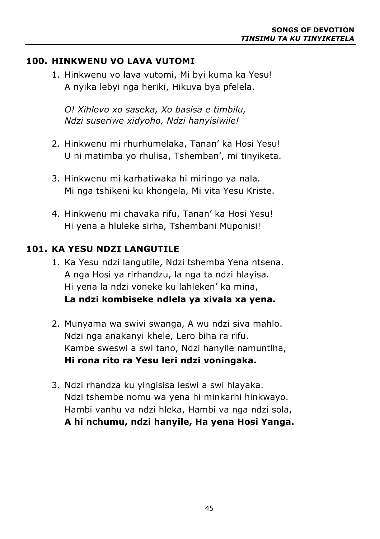### **100. HINKWENU VO LAVA VUTOMI**

1. Hinkwenu vo lava vutomi, Mi byi kuma ka Yesu! A nyika lebyi nga heriki, Hikuva bya pfelela.

*O! Xihlovo xo saseka, Xo basisa e timbilu, Ndzi suseriwe xidyoho, Ndzi hanyisiwile!*

- 2. Hinkwenu mi rhurhumelaka, Tanan' ka Hosi Yesu! U ni matimba yo rhulisa, Tshemban', mi tinyiketa.
- 3. Hinkwenu mi karhatiwaka hi miringo ya nala. Mi nga tshikeni ku khongela, Mi vita Yesu Kriste.
- 4. Hinkwenu mi chavaka rifu, Tanan' ka Hosi Yesu! Hi yena a hluleke sirha, Tshembani Muponisi!

# **101. KA YESU NDZI LANGUTILE**

- 1. Ka Yesu ndzi langutile, Ndzi tshemba Yena ntsena. A nga Hosi ya rirhandzu, la nga ta ndzi hlayisa. Hi yena la ndzi voneke ku lahleken' ka mina, **La ndzi kombiseke ndlela ya xivala xa yena.**
- 2. Munyama wa swivi swanga, A wu ndzi siva mahlo. Ndzi nga anakanyi khele, Lero biha ra rifu. Kambe sweswi a swi tano, Ndzi hanyile namuntlha, **Hi rona rito ra Yesu leri ndzi voningaka.**
- 3. Ndzi rhandza ku yingisisa leswi a swi hlayaka. Ndzi tshembe nomu wa yena hi minkarhi hinkwayo. Hambi vanhu va ndzi hleka, Hambi va nga ndzi sola, **A hi nchumu, ndzi hanyile, Ha yena Hosi Yanga.**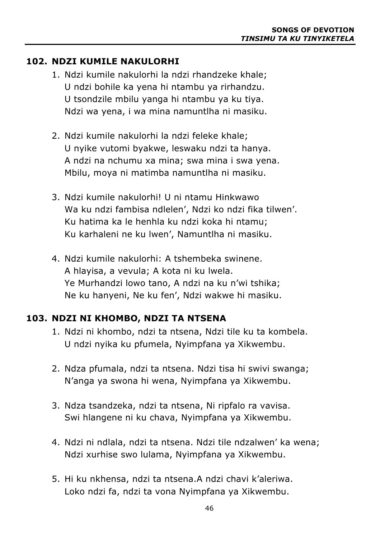### **102. NDZI KUMILE NAKULORHI**

- 1. Ndzi kumile nakulorhi la ndzi rhandzeke khale; U ndzi bohile ka yena hi ntambu ya rirhandzu. U tsondzile mbilu yanga hi ntambu ya ku tiya. Ndzi wa yena, i wa mina namuntlha ni masiku.
- 2. Ndzi kumile nakulorhi la ndzi feleke khale; U nyike vutomi byakwe, leswaku ndzi ta hanya. A ndzi na nchumu xa mina; swa mina i swa yena. Mbilu, moya ni matimba namuntlha ni masiku.
- 3. Ndzi kumile nakulorhi! U ni ntamu Hinkwawo Wa ku ndzi fambisa ndlelen', Ndzi ko ndzi fika tilwen'. Ku hatima ka le henhla ku ndzi koka hi ntamu; Ku karhaleni ne ku lwen', Namuntlha ni masiku.
- 4. Ndzi kumile nakulorhi: A tshembeka swinene. A hlayisa, a vevula; A kota ni ku lwela. Ye Murhandzi lowo tano, A ndzi na ku n'wi tshika; Ne ku hanyeni, Ne ku fen', Ndzi wakwe hi masiku.

# **103. NDZI NI KHOMBO, NDZI TA NTSENA**

- 1. Ndzi ni khombo, ndzi ta ntsena, Ndzi tile ku ta kombela. U ndzi nyika ku pfumela, Nyimpfana ya Xikwembu.
- 2. Ndza pfumala, ndzi ta ntsena. Ndzi tisa hi swivi swanga; N'anga ya swona hi wena, Nyimpfana ya Xikwembu.
- 3. Ndza tsandzeka, ndzi ta ntsena, Ni ripfalo ra vavisa. Swi hlangene ni ku chava, Nyimpfana ya Xikwembu.
- 4. Ndzi ni ndlala, ndzi ta ntsena. Ndzi tile ndzalwen' ka wena; Ndzi xurhise swo lulama, Nyimpfana ya Xikwembu.
- 5. Hi ku nkhensa, ndzi ta ntsena.A ndzi chavi k'aleriwa. Loko ndzi fa, ndzi ta vona Nyimpfana ya Xikwembu.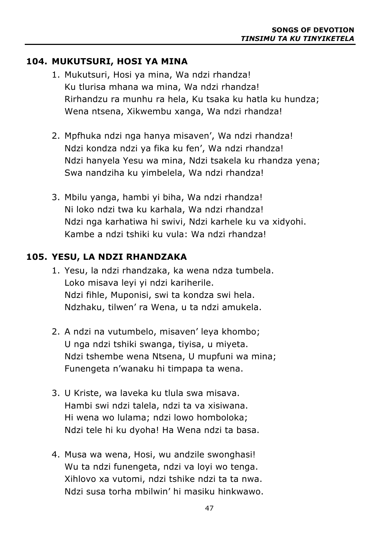#### **104. MUKUTSURI, HOSI YA MINA**

- 1. Mukutsuri, Hosi ya mina, Wa ndzi rhandza! Ku tlurisa mhana wa mina, Wa ndzi rhandza! Rirhandzu ra munhu ra hela, Ku tsaka ku hatla ku hundza; Wena ntsena, Xikwembu xanga, Wa ndzi rhandza!
- 2. Mpfhuka ndzi nga hanya misaven', Wa ndzi rhandza! Ndzi kondza ndzi ya fika ku fen', Wa ndzi rhandza! Ndzi hanyela Yesu wa mina, Ndzi tsakela ku rhandza yena; Swa nandziha ku yimbelela, Wa ndzi rhandza!
- 3. Mbilu yanga, hambi yi biha, Wa ndzi rhandza! Ni loko ndzi twa ku karhala, Wa ndzi rhandza! Ndzi nga karhatiwa hi swivi, Ndzi karhele ku va xidyohi. Kambe a ndzi tshiki ku vula: Wa ndzi rhandza!

# **105. YESU, LA NDZI RHANDZAKA**

- 1. Yesu, la ndzi rhandzaka, ka wena ndza tumbela. Loko misava leyi yi ndzi kariherile. Ndzi fihle, Muponisi, swi ta kondza swi hela. Ndzhaku, tilwen' ra Wena, u ta ndzi amukela.
- 2. A ndzi na vutumbelo, misaven' leya khombo; U nga ndzi tshiki swanga, tiyisa, u miyeta. Ndzi tshembe wena Ntsena, U mupfuni wa mina; Funengeta n'wanaku hi timpapa ta wena.
- 3. U Kriste, wa laveka ku tlula swa misava. Hambi swi ndzi talela, ndzi ta va xisiwana. Hi wena wo lulama; ndzi lowo homboloka; Ndzi tele hi ku dyoha! Ha Wena ndzi ta basa.
- 4. Musa wa wena, Hosi, wu andzile swonghasi! Wu ta ndzi funengeta, ndzi va loyi wo tenga. Xihlovo xa vutomi, ndzi tshike ndzi ta ta nwa. Ndzi susa torha mbilwin' hi masiku hinkwawo.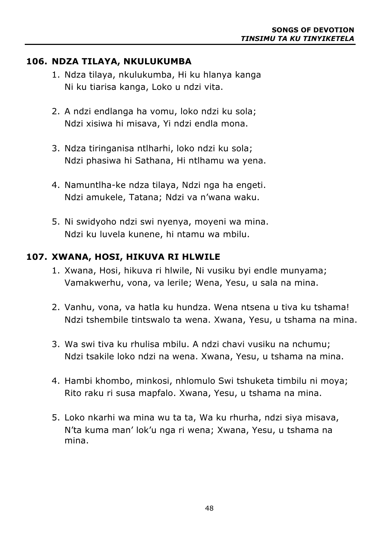#### **106. NDZA TILAYA, NKULUKUMBA**

- 1. Ndza tilaya, nkulukumba, Hi ku hlanya kanga Ni ku tiarisa kanga, Loko u ndzi vita.
- 2. A ndzi endlanga ha vomu, loko ndzi ku sola; Ndzi xisiwa hi misava, Yi ndzi endla mona.
- 3. Ndza tiringanisa ntlharhi, loko ndzi ku sola; Ndzi phasiwa hi Sathana, Hi ntlhamu wa yena.
- 4. Namuntlha-ke ndza tilaya, Ndzi nga ha engeti. Ndzi amukele, Tatana; Ndzi va n'wana waku.
- 5. Ni swidyoho ndzi swi nyenya, moyeni wa mina. Ndzi ku luvela kunene, hi ntamu wa mbilu.

# **107. XWANA, HOSI, HIKUVA RI HLWILE**

- 1. Xwana, Hosi, hikuva ri hlwile, Ni vusiku byi endle munyama; Vamakwerhu, vona, va lerile; Wena, Yesu, u sala na mina.
- 2. Vanhu, vona, va hatla ku hundza. Wena ntsena u tiva ku tshama! Ndzi tshembile tintswalo ta wena. Xwana, Yesu, u tshama na mina.
- 3. Wa swi tiva ku rhulisa mbilu. A ndzi chavi vusiku na nchumu; Ndzi tsakile loko ndzi na wena. Xwana, Yesu, u tshama na mina.
- 4. Hambi khombo, minkosi, nhlomulo Swi tshuketa timbilu ni moya; Rito raku ri susa mapfalo. Xwana, Yesu, u tshama na mina.
- 5. Loko nkarhi wa mina wu ta ta, Wa ku rhurha, ndzi siya misava, N'ta kuma man' lok'u nga ri wena; Xwana, Yesu, u tshama na mina.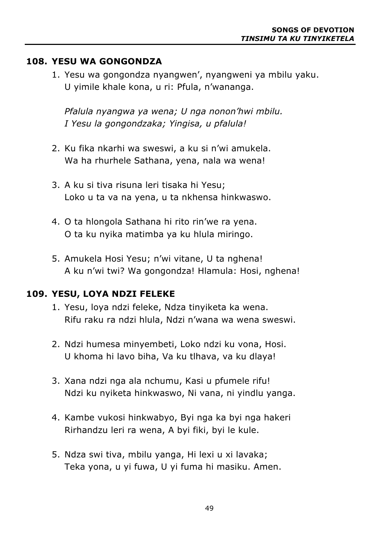### **108. YESU WA GONGONDZA**

1. Yesu wa gongondza nyangwen', nyangweni ya mbilu yaku. U yimile khale kona, u ri: Pfula, n'wananga.

*Pfalula nyangwa ya wena; U nga nonon'hwi mbilu. I Yesu la gongondzaka; Yingisa, u pfalula!*

- 2. Ku fika nkarhi wa sweswi, a ku si n'wi amukela. Wa ha rhurhele Sathana, yena, nala wa wena!
- 3. A ku si tiva risuna leri tisaka hi Yesu; Loko u ta va na yena, u ta nkhensa hinkwaswo.
- 4. O ta hlongola Sathana hi rito rin'we ra yena. O ta ku nyika matimba ya ku hlula miringo.
- 5. Amukela Hosi Yesu; n'wi vitane, U ta nghena! A ku n'wi twi? Wa gongondza! Hlamula: Hosi, nghena!

### **109. YESU, LOYA NDZI FELEKE**

- 1. Yesu, loya ndzi feleke, Ndza tinyiketa ka wena. Rifu raku ra ndzi hlula, Ndzi n'wana wa wena sweswi.
- 2. Ndzi humesa minyembeti, Loko ndzi ku vona, Hosi. U khoma hi lavo biha, Va ku tlhava, va ku dlaya!
- 3. Xana ndzi nga ala nchumu, Kasi u pfumele rifu! Ndzi ku nyiketa hinkwaswo, Ni vana, ni yindlu yanga.
- 4. Kambe vukosi hinkwabyo, Byi nga ka byi nga hakeri Rirhandzu leri ra wena, A byi fiki, byi le kule.
- 5. Ndza swi tiva, mbilu yanga, Hi lexi u xi lavaka; Teka yona, u yi fuwa, U yi fuma hi masiku. Amen.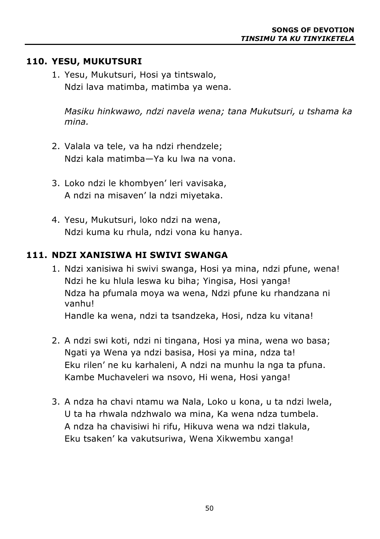#### **110. YESU, MUKUTSURI**

1. Yesu, Mukutsuri, Hosi ya tintswalo, Ndzi lava matimba, matimba ya wena.

*Masiku hinkwawo, ndzi navela wena; tana Mukutsuri, u tshama ka mina.*

- 2. Valala va tele, va ha ndzi rhendzele; Ndzi kala matimba—Ya ku lwa na vona.
- 3. Loko ndzi le khombyen' leri vavisaka, A ndzi na misaven' la ndzi miyetaka.
- 4. Yesu, Mukutsuri, loko ndzi na wena, Ndzi kuma ku rhula, ndzi vona ku hanya.

### **111. NDZI XANISIWA HI SWIVI SWANGA**

- 1. Ndzi xanisiwa hi swivi swanga, Hosi ya mina, ndzi pfune, wena! Ndzi he ku hlula leswa ku biha; Yingisa, Hosi yanga! Ndza ha pfumala moya wa wena, Ndzi pfune ku rhandzana ni vanhu! Handle ka wena, ndzi ta tsandzeka, Hosi, ndza ku vitana!
- 2. A ndzi swi koti, ndzi ni tingana, Hosi ya mina, wena wo basa; Ngati ya Wena ya ndzi basisa, Hosi ya mina, ndza ta! Eku rilen' ne ku karhaleni, A ndzi na munhu la nga ta pfuna. Kambe Muchaveleri wa nsovo, Hi wena, Hosi yanga!
- 3. A ndza ha chavi ntamu wa Nala, Loko u kona, u ta ndzi lwela, U ta ha rhwala ndzhwalo wa mina, Ka wena ndza tumbela. A ndza ha chavisiwi hi rifu, Hikuva wena wa ndzi tlakula, Eku tsaken' ka vakutsuriwa, Wena Xikwembu xanga!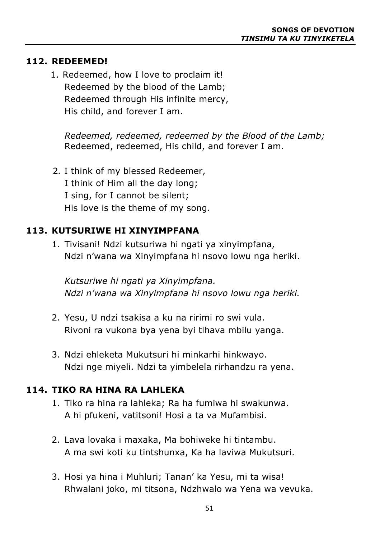### **112. REDEEMED!**

1. Redeemed, how I love to proclaim it! Redeemed by the blood of the Lamb; Redeemed through His infinite mercy, His child, and forever I am.

*Redeemed, redeemed, redeemed by the Blood of the Lamb;*  Redeemed, redeemed, His child, and forever I am.

2*.* I think of my blessed Redeemer, I think of Him all the day long; I sing, for I cannot be silent; His love is the theme of my song.

# **113. KUTSURIWE HI XINYIMPFANA**

1. Tivisani! Ndzi kutsuriwa hi ngati ya xinyimpfana, Ndzi n'wana wa Xinyimpfana hi nsovo lowu nga heriki.

*Kutsuriwe hi ngati ya Xinyimpfana. Ndzi n'wana wa Xinyimpfana hi nsovo lowu nga heriki.*

- 2. Yesu, U ndzi tsakisa a ku na ririmi ro swi vula. Rivoni ra vukona bya yena byi tlhava mbilu yanga.
- 3. Ndzi ehleketa Mukutsuri hi minkarhi hinkwayo. Ndzi nge miyeli. Ndzi ta yimbelela rirhandzu ra yena.

### **114. TIKO RA HINA RA LAHLEKA**

- 1. Tiko ra hina ra lahleka; Ra ha fumiwa hi swakunwa. A hi pfukeni, vatitsoni! Hosi a ta va Mufambisi.
- 2. Lava lovaka i maxaka, Ma bohiweke hi tintambu. A ma swi koti ku tintshunxa, Ka ha laviwa Mukutsuri.
- 3. Hosi ya hina i Muhluri; Tanan' ka Yesu, mi ta wisa! Rhwalani joko, mi titsona, Ndzhwalo wa Yena wa vevuka.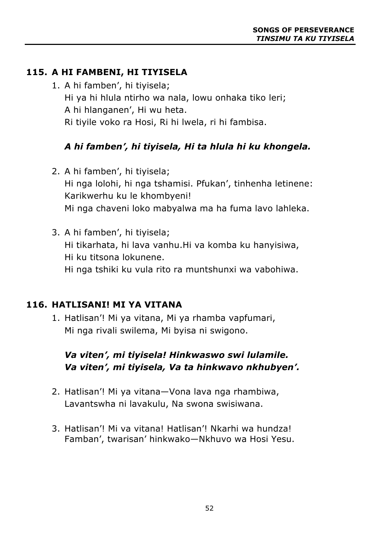# **115. A HI FAMBENI, HI TIYISELA**

1. A hi famben', hi tiyisela; Hi ya hi hlula ntirho wa nala, lowu onhaka tiko leri; A hi hlanganen', Hi wu heta. Ri tiyile voko ra Hosi, Ri hi lwela, ri hi fambisa.

# *A hi famben', hi tiyisela, Hi ta hlula hi ku khongela.*

- 2. A hi famben', hi tiyisela; Hi nga lolohi, hi nga tshamisi. Pfukan', tinhenha letinene: Karikwerhu ku le khombyeni! Mi nga chaveni loko mabyalwa ma ha fuma lavo lahleka.
- 3. A hi famben', hi tiyisela; Hi tikarhata, hi lava vanhu.Hi va komba ku hanyisiwa, Hi ku titsona lokunene. Hi nga tshiki ku vula rito ra muntshunxi wa vabohiwa.

### **116. HATLISANI! MI YA VITANA**

1. Hatlisan'! Mi ya vitana, Mi ya rhamba vapfumari, Mi nga rivali swilema, Mi byisa ni swigono.

# *Va viten', mi tiyisela! Hinkwaswo swi lulamile. Va viten', mi tiyisela, Va ta hinkwavo nkhubyen'.*

- 2. Hatlisan'! Mi ya vitana—Vona lava nga rhambiwa, Lavantswha ni lavakulu, Na swona swisiwana.
- 3. Hatlisan'! Mi va vitana! Hatlisan'! Nkarhi wa hundza! Famban', twarisan' hinkwako—Nkhuvo wa Hosi Yesu.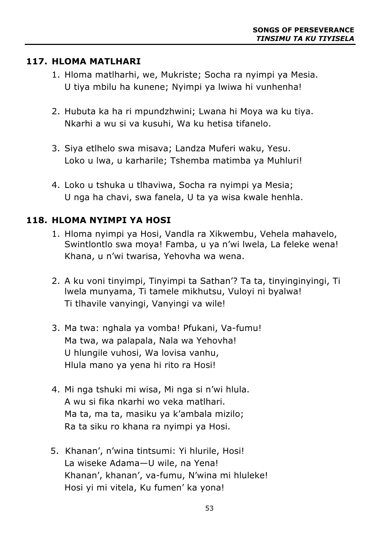#### **117. HLOMA MATLHARI**

- 1. Hloma matlharhi, we, Mukriste; Socha ra nyimpi ya Mesia. U tiya mbilu ha kunene; Nyimpi ya lwiwa hi vunhenha!
- 2. Hubuta ka ha ri mpundzhwini; Lwana hi Moya wa ku tiya. Nkarhi a wu si va kusuhi, Wa ku hetisa tifanelo.
- 3. Siya etlhelo swa misava; Landza Muferi waku, Yesu. Loko u lwa, u karharile; Tshemba matimba ya Muhluri!
- 4. Loko u tshuka u tlhaviwa, Socha ra nyimpi ya Mesia; U nga ha chavi, swa fanela, U ta ya wisa kwale henhla.

# **118. HLOMA NYIMPI YA HOSI**

- 1. Hloma nyimpi ya Hosi, Vandla ra Xikwembu, Vehela mahavelo, Swintlontlo swa moya! Famba, u ya n'wi lwela, La feleke wena! Khana, u n'wi twarisa, Yehovha wa wena.
- 2. A ku voni tinyimpi, Tinyimpi ta Sathan'? Ta ta, tinyinginyingi, Ti lwela munyama, Ti tamele mikhutsu, Vuloyi ni byalwa! Ti tlhavile vanyingi, Vanyingi va wile!
- 3. Ma twa: nghala ya vomba! Pfukani, Va-fumu! Ma twa, wa palapala, Nala wa Yehovha! U hlungile vuhosi, Wa lovisa vanhu, Hlula mano ya yena hi rito ra Hosi!
- 4. Mi nga tshuki mi wisa, Mi nga si n'wi hlula. A wu si fika nkarhi wo veka matlhari. Ma ta, ma ta, masiku ya k'ambala mizilo; Ra ta siku ro khana ra nyimpi ya Hosi.
- 5. Khanan', n'wina tintsumi: Yi hlurile, Hosi! La wiseke Adama—U wile, na Yena! Khanan', khanan', va-fumu, N'wina mi hluleke! Hosi yi mi vitela, Ku fumen' ka yona!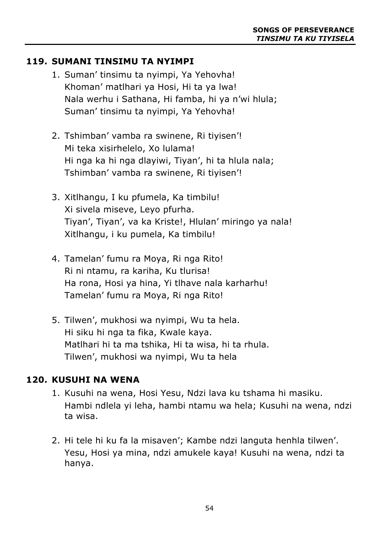### **119. SUMANI TINSIMU TA NYIMPI**

- 1. Suman' tinsimu ta nyimpi, Ya Yehovha! Khoman' matlhari ya Hosi, Hi ta ya lwa! Nala werhu i Sathana, Hi famba, hi ya n'wi hlula; Suman' tinsimu ta nyimpi, Ya Yehovha!
- 2. Tshimban' vamba ra swinene, Ri tiyisen'! Mi teka xisirhelelo, Xo lulama! Hi nga ka hi nga dlayiwi, Tiyan', hi ta hlula nala; Tshimban' vamba ra swinene, Ri tiyisen'!
- 3. Xitlhangu, I ku pfumela, Ka timbilu! Xi sivela miseve, Leyo pfurha. Tiyan', Tiyan', va ka Kriste!, Hlulan' miringo ya nala! Xitlhangu, i ku pumela, Ka timbilu!
- 4. Tamelan' fumu ra Moya, Ri nga Rito! Ri ni ntamu, ra kariha, Ku tlurisa! Ha rona, Hosi ya hina, Yi tlhave nala karharhu! Tamelan' fumu ra Moya, Ri nga Rito!
- 5. Tilwen', mukhosi wa nyimpi, Wu ta hela. Hi siku hi nga ta fika, Kwale kaya. Matlhari hi ta ma tshika, Hi ta wisa, hi ta rhula. Tilwen', mukhosi wa nyimpi, Wu ta hela

# **120. KUSUHI NA WENA**

- 1. Kusuhi na wena, Hosi Yesu, Ndzi lava ku tshama hi masiku. Hambi ndlela yi leha, hambi ntamu wa hela; Kusuhi na wena, ndzi ta wisa.
- 2. Hi tele hi ku fa la misaven'; Kambe ndzi languta henhla tilwen'. Yesu, Hosi ya mina, ndzi amukele kaya! Kusuhi na wena, ndzi ta hanya.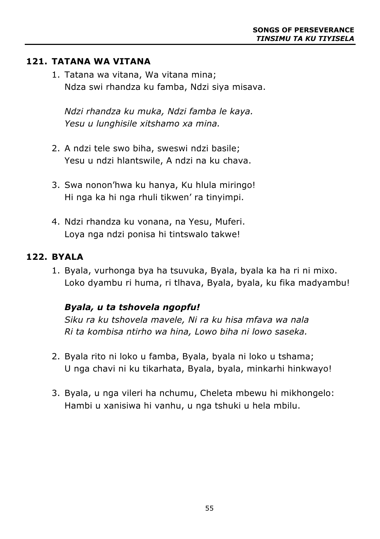#### **121. TATANA WA VITANA**

1. Tatana wa vitana, Wa vitana mina; Ndza swi rhandza ku famba, Ndzi siya misava.

*Ndzi rhandza ku muka, Ndzi famba le kaya. Yesu u lunghisile xitshamo xa mina.*

- 2. A ndzi tele swo biha, sweswi ndzi basile; Yesu u ndzi hlantswile, A ndzi na ku chava.
- 3. Swa nonon'hwa ku hanya, Ku hlula miringo! Hi nga ka hi nga rhuli tikwen' ra tinyimpi.
- 4. Ndzi rhandza ku vonana, na Yesu, Muferi. Loya nga ndzi ponisa hi tintswalo takwe!

# **122. BYALA**

1. Byala, vurhonga bya ha tsuvuka, Byala, byala ka ha ri ni mixo. Loko dyambu ri huma, ri tlhava, Byala, byala, ku fika madyambu!

# *Byala, u ta tshovela ngopfu!*

*Siku ra ku tshovela mavele, Ni ra ku hisa mfava wa nala Ri ta kombisa ntirho wa hina, Lowo biha ni lowo saseka.*

- 2. Byala rito ni loko u famba, Byala, byala ni loko u tshama; U nga chavi ni ku tikarhata, Byala, byala, minkarhi hinkwayo!
- 3. Byala, u nga vileri ha nchumu, Cheleta mbewu hi mikhongelo: Hambi u xanisiwa hi vanhu, u nga tshuki u hela mbilu.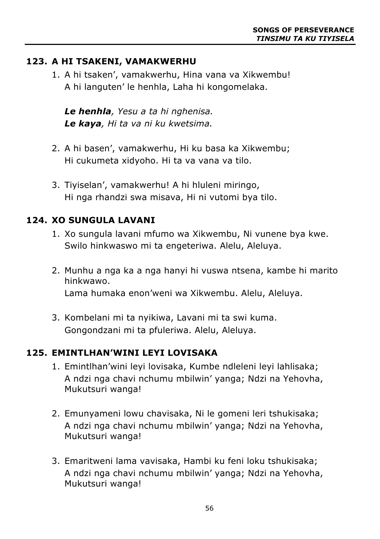# **123. A HI TSAKENI, VAMAKWERHU**

1. A hi tsaken', vamakwerhu, Hina vana va Xikwembu! A hi languten' le henhla, Laha hi kongomelaka.

*Le henhla, Yesu a ta hi nghenisa. Le kaya, Hi ta va ni ku kwetsima.*

- 2. A hi basen', vamakwerhu, Hi ku basa ka Xikwembu; Hi cukumeta xidyoho. Hi ta va vana va tilo.
- 3. Tiyiselan', vamakwerhu! A hi hluleni miringo, Hi nga rhandzi swa misava, Hi ni vutomi bya tilo.

# **124. XO SUNGULA LAVANI**

- 1. Xo sungula lavani mfumo wa Xikwembu, Ni vunene bya kwe. Swilo hinkwaswo mi ta engeteriwa. Alelu, Aleluya.
- 2. Munhu a nga ka a nga hanyi hi vuswa ntsena, kambe hi marito hinkwawo. Lama humaka enon'weni wa Xikwembu. Alelu, Aleluya.
- 3. Kombelani mi ta nyikiwa, Lavani mi ta swi kuma. Gongondzani mi ta pfuleriwa. Alelu, Aleluya.

# **125. EMINTLHAN'WINI LEYI LOVISAKA**

- 1. Emintlhan'wini leyi lovisaka, Kumbe ndleleni leyi lahlisaka; A ndzi nga chavi nchumu mbilwin' yanga; Ndzi na Yehovha, Mukutsuri wanga!
- 2. Emunyameni lowu chavisaka, Ni le gomeni leri tshukisaka; A ndzi nga chavi nchumu mbilwin' yanga; Ndzi na Yehovha, Mukutsuri wanga!
- 3. Emaritweni lama vavisaka, Hambi ku feni loku tshukisaka; A ndzi nga chavi nchumu mbilwin' yanga; Ndzi na Yehovha, Mukutsuri wanga!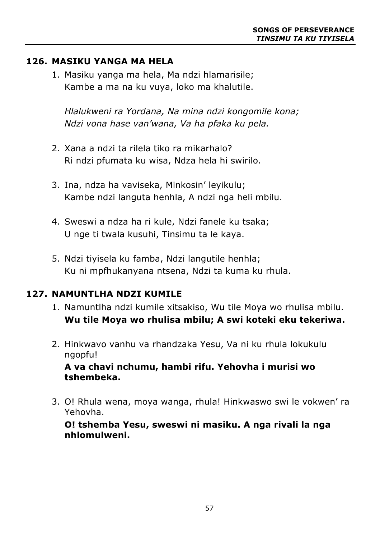## **126. MASIKU YANGA MA HELA**

1. Masiku yanga ma hela, Ma ndzi hlamarisile; Kambe a ma na ku vuya, loko ma khalutile.

*Hlalukweni ra Yordana, Na mina ndzi kongomile kona; Ndzi vona hase van'wana, Va ha pfaka ku pela.*

- 2. Xana a ndzi ta rilela tiko ra mikarhalo? Ri ndzi pfumata ku wisa, Ndza hela hi swirilo.
- 3. Ina, ndza ha vaviseka, Minkosin' leyikulu; Kambe ndzi languta henhla, A ndzi nga heli mbilu.
- 4. Sweswi a ndza ha ri kule, Ndzi fanele ku tsaka; U nge ti twala kusuhi, Tinsimu ta le kaya.
- 5. Ndzi tiyisela ku famba, Ndzi langutile henhla; Ku ni mpfhukanyana ntsena, Ndzi ta kuma ku rhula.

### **127. NAMUNTLHA NDZI KUMILE**

- 1. Namuntlha ndzi kumile xitsakiso, Wu tile Moya wo rhulisa mbilu. **Wu tile Moya wo rhulisa mbilu; A swi koteki eku tekeriwa.**
- 2. Hinkwavo vanhu va rhandzaka Yesu, Va ni ku rhula lokukulu ngopfu! **A va chavi nchumu, hambi rifu. Yehovha i murisi wo tshembeka.**
- 3. O! Rhula wena, moya wanga, rhula! Hinkwaswo swi le vokwen' ra Yehovha.

**O! tshemba Yesu, sweswi ni masiku. A nga rivali la nga nhlomulweni.**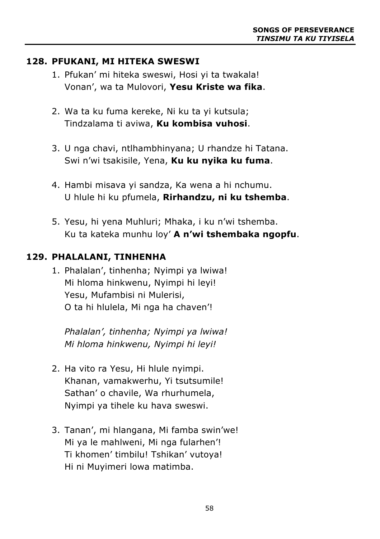### **128. PFUKANI, MI HITEKA SWESWI**

- 1. Pfukan' mi hiteka sweswi, Hosi yi ta twakala! Vonan', wa ta Mulovori, **Yesu Kriste wa fika**.
- 2. Wa ta ku fuma kereke, Ni ku ta yi kutsula; Tindzalama ti aviwa, **Ku kombisa vuhosi**.
- 3. U nga chavi, ntlhambhinyana; U rhandze hi Tatana. Swi n'wi tsakisile, Yena, **Ku ku nyika ku fuma**.
- 4. Hambi misava yi sandza, Ka wena a hi nchumu. U hlule hi ku pfumela, **Rirhandzu, ni ku tshemba**.
- 5. Yesu, hi yena Muhluri; Mhaka, i ku n'wi tshemba. Ku ta kateka munhu loy' **A n'wi tshembaka ngopfu**.

# **129. PHALALANI, TINHENHA**

1. Phalalan', tinhenha; Nyimpi ya lwiwa! Mi hloma hinkwenu, Nyimpi hi leyi! Yesu, Mufambisi ni Mulerisi, O ta hi hlulela, Mi nga ha chaven'!

*Phalalan', tinhenha; Nyimpi ya lwiwa! Mi hloma hinkwenu, Nyimpi hi leyi!*

- 2. Ha vito ra Yesu, Hi hlule nyimpi. Khanan, vamakwerhu, Yi tsutsumile! Sathan' o chavile, Wa rhurhumela, Nyimpi ya tihele ku hava sweswi.
- 3. Tanan', mi hlangana, Mi famba swin'we! Mi ya le mahlweni, Mi nga fularhen'! Ti khomen' timbilu! Tshikan' vutoya! Hi ni Muyimeri lowa matimba.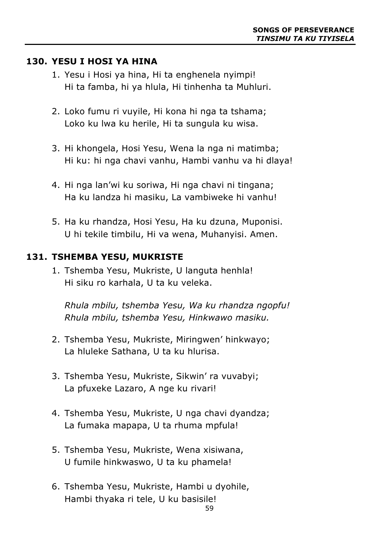#### **130. YESU I HOSI YA HINA**

- 1. Yesu i Hosi ya hina, Hi ta enghenela nyimpi! Hi ta famba, hi ya hlula, Hi tinhenha ta Muhluri.
- 2. Loko fumu ri vuyile, Hi kona hi nga ta tshama; Loko ku lwa ku herile, Hi ta sungula ku wisa.
- 3. Hi khongela, Hosi Yesu, Wena la nga ni matimba; Hi ku: hi nga chavi vanhu, Hambi vanhu va hi dlaya!
- 4. Hi nga lan'wi ku soriwa, Hi nga chavi ni tingana; Ha ku landza hi masiku, La vambiweke hi vanhu!
- 5. Ha ku rhandza, Hosi Yesu, Ha ku dzuna, Muponisi. U hi tekile timbilu, Hi va wena, Muhanyisi. Amen.

### **131. TSHEMBA YESU, MUKRISTE**

1. Tshemba Yesu, Mukriste, U languta henhla! Hi siku ro karhala, U ta ku veleka.

*Rhula mbilu, tshemba Yesu, Wa ku rhandza ngopfu! Rhula mbilu, tshemba Yesu, Hinkwawo masiku.*

- 2. Tshemba Yesu, Mukriste, Miringwen' hinkwayo; La hluleke Sathana, U ta ku hlurisa.
- 3. Tshemba Yesu, Mukriste, Sikwin' ra vuvabyi; La pfuxeke Lazaro, A nge ku rivari!
- 4. Tshemba Yesu, Mukriste, U nga chavi dyandza; La fumaka mapapa, U ta rhuma mpfula!
- 5. Tshemba Yesu, Mukriste, Wena xisiwana, U fumile hinkwaswo, U ta ku phamela!
- 6. Tshemba Yesu, Mukriste, Hambi u dyohile, Hambi thyaka ri tele, U ku basisile!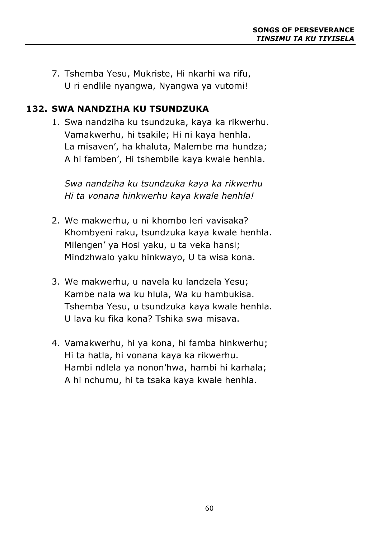7. Tshemba Yesu, Mukriste, Hi nkarhi wa rifu, U ri endlile nyangwa, Nyangwa ya vutomi!

# **132. SWA NANDZIHA KU TSUNDZUKA**

1. Swa nandziha ku tsundzuka, kaya ka rikwerhu. Vamakwerhu, hi tsakile; Hi ni kaya henhla. La misaven', ha khaluta, Malembe ma hundza; A hi famben', Hi tshembile kaya kwale henhla.

*Swa nandziha ku tsundzuka kaya ka rikwerhu Hi ta vonana hinkwerhu kaya kwale henhla!*

- 2. We makwerhu, u ni khombo leri vavisaka? Khombyeni raku, tsundzuka kaya kwale henhla. Milengen' ya Hosi yaku, u ta veka hansi; Mindzhwalo yaku hinkwayo, U ta wisa kona.
- 3. We makwerhu, u navela ku landzela Yesu; Kambe nala wa ku hlula, Wa ku hambukisa. Tshemba Yesu, u tsundzuka kaya kwale henhla. U lava ku fika kona? Tshika swa misava.
- 4. Vamakwerhu, hi ya kona, hi famba hinkwerhu; Hi ta hatla, hi vonana kaya ka rikwerhu. Hambi ndlela ya nonon'hwa, hambi hi karhala; A hi nchumu, hi ta tsaka kaya kwale henhla.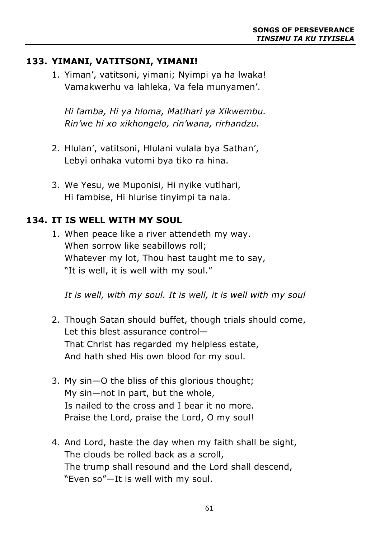### **133. YIMANI, VATITSONI, YIMANI!**

1. Yiman', vatitsoni, yimani; Nyimpi ya ha lwaka! Vamakwerhu va lahleka, Va fela munyamen'.

*Hi famba, Hi ya hloma, Matlhari ya Xikwembu. Rin'we hi xo xikhongelo, rin'wana, rirhandzu.*

- 2. Hlulan', vatitsoni, Hlulani vulala bya Sathan', Lebyi onhaka vutomi bya tiko ra hina.
- 3. We Yesu, we Muponisi, Hi nyike vutlhari, Hi fambise, Hi hlurise tinyimpi ta nala.

# **134. IT IS WELL WITH MY SOUL**

1. When peace like a river attendeth my way. When sorrow like seabillows roll: Whatever my lot, Thou hast taught me to say, "It is well, it is well with my soul."

*It is well, with my soul. It is well, it is well with my soul*

- 2. Though Satan should buffet, though trials should come, Let this blest assurance control— That Christ has regarded my helpless estate, And hath shed His own blood for my soul.
- 3. My sin—O the bliss of this glorious thought; My sin—not in part, but the whole, Is nailed to the cross and I bear it no more. Praise the Lord, praise the Lord, O my soul!
- 4. And Lord, haste the day when my faith shall be sight, The clouds be rolled back as a scroll, The trump shall resound and the Lord shall descend, "Even so"—It is well with my soul.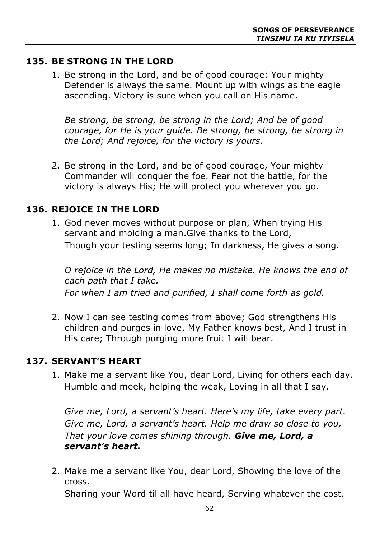#### **135. BE STRONG IN THE LORD**

1. Be strong in the Lord, and be of good courage; Your mighty Defender is always the same. Mount up with wings as the eagle ascending. Victory is sure when you call on His name.

*Be strong, be strong, be strong in the Lord; And be of good courage, for He is your guide. Be strong, be strong, be strong in the Lord; And rejoice, for the victory is yours.* 

2. Be strong in the Lord, and be of good courage, Your mighty Commander will conquer the foe. Fear not the battle, for the victory is always His; He will protect you wherever you go.

# **136. REJOICE IN THE LORD**

1. God never moves without purpose or plan, When trying His servant and molding a man.Give thanks to the Lord, Though your testing seems long; In darkness, He gives a song.

*O rejoice in the Lord, He makes no mistake. He knows the end of each path that I take. For when I am tried and purified, I shall come forth as gold.*

2. Now I can see testing comes from above; God strengthens His children and purges in love. My Father knows best, And I trust in His care; Through purging more fruit I will bear.

### **137. SERVANT'S HEART**

1. Make me a servant like You, dear Lord, Living for others each day. Humble and meek, helping the weak, Loving in all that I say.

*Give me, Lord, a servant's heart. Here's my life, take every part. Give me, Lord, a servant's heart. Help me draw so close to you, That your love comes shining through. Give me, Lord, a servant's heart.*

2. Make me a servant like You, dear Lord, Showing the love of the cross.

Sharing your Word til all have heard, Serving whatever the cost.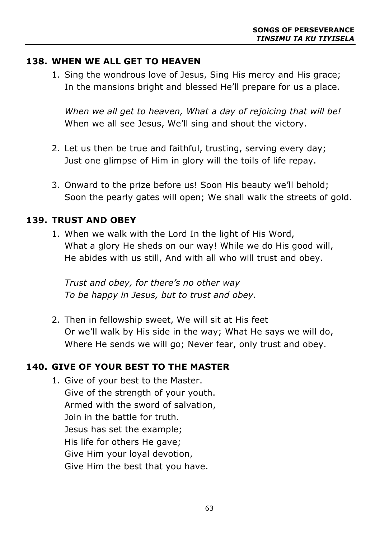#### **138. WHEN WE ALL GET TO HEAVEN**

1. Sing the wondrous love of Jesus, Sing His mercy and His grace; In the mansions bright and blessed He'll prepare for us a place.

*When we all get to heaven, What a day of rejoicing that will be!* When we all see Jesus, We'll sing and shout the victory.

- 2. Let us then be true and faithful, trusting, serving every day; Just one glimpse of Him in glory will the toils of life repay.
- 3. Onward to the prize before us! Soon His beauty we'll behold; Soon the pearly gates will open; We shall walk the streets of gold.

# **139. TRUST AND OBEY**

1. When we walk with the Lord In the light of His Word, What a glory He sheds on our way! While we do His good will, He abides with us still, And with all who will trust and obey.

*Trust and obey, for there's no other way To be happy in Jesus, but to trust and obey.*

2. Then in fellowship sweet, We will sit at His feet Or we'll walk by His side in the way; What He says we will do, Where He sends we will go; Never fear, only trust and obey.

# **140. GIVE OF YOUR BEST TO THE MASTER**

1. Give of your best to the Master. Give of the strength of your youth. Armed with the sword of salvation, Join in the battle for truth. Jesus has set the example; His life for others He gave; Give Him your loyal devotion, Give Him the best that you have.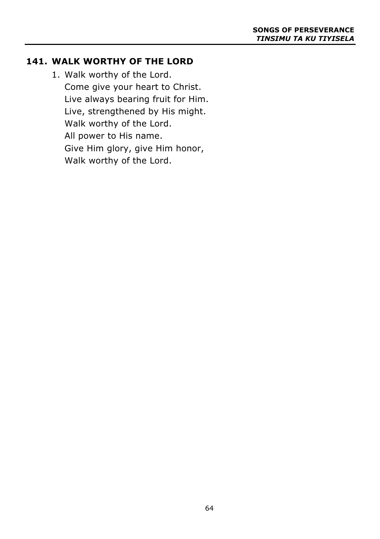### **141. WALK WORTHY OF THE LORD**

1. Walk worthy of the Lord. Come give your heart to Christ. Live always bearing fruit for Him. Live, strengthened by His might. Walk worthy of the Lord. All power to His name. Give Him glory, give Him honor, Walk worthy of the Lord.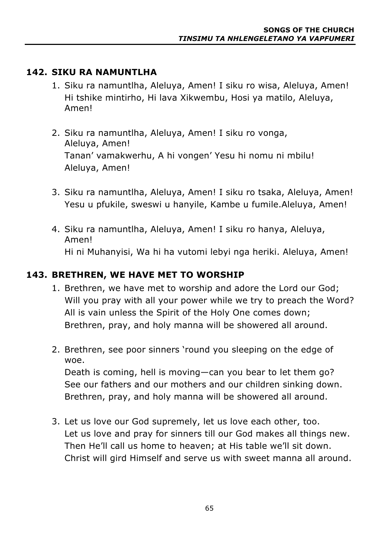# **142. SIKU RA NAMUNTLHA**

- 1. Siku ra namuntlha, Aleluya, Amen! I siku ro wisa, Aleluya, Amen! Hi tshike mintirho, Hi lava Xikwembu, Hosi ya matilo, Aleluya, Amen!
- 2. Siku ra namuntlha, Aleluya, Amen! I siku ro vonga, Aleluya, Amen! Tanan' vamakwerhu, A hi vongen' Yesu hi nomu ni mbilu! Aleluya, Amen!
- 3. Siku ra namuntlha, Aleluya, Amen! I siku ro tsaka, Aleluya, Amen! Yesu u pfukile, sweswi u hanyile, Kambe u fumile.Aleluya, Amen!
- 4. Siku ra namuntlha, Aleluya, Amen! I siku ro hanya, Aleluya, Amen! Hi ni Muhanyisi, Wa hi ha vutomi lebyi nga heriki. Aleluya, Amen!

## **143. BRETHREN, WE HAVE MET TO WORSHIP**

- 1. Brethren, we have met to worship and adore the Lord our God; Will you pray with all your power while we try to preach the Word? All is vain unless the Spirit of the Holy One comes down; Brethren, pray, and holy manna will be showered all around.
- 2. Brethren, see poor sinners 'round you sleeping on the edge of woe. Death is coming, hell is moving—can you bear to let them go? See our fathers and our mothers and our children sinking down. Brethren, pray, and holy manna will be showered all around.
- 3. Let us love our God supremely, let us love each other, too. Let us love and pray for sinners till our God makes all things new. Then He'll call us home to heaven; at His table we'll sit down. Christ will gird Himself and serve us with sweet manna all around.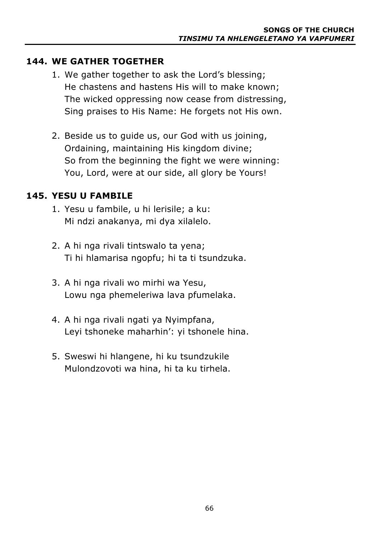## **144. WE GATHER TOGETHER**

- 1. We gather together to ask the Lord's blessing; He chastens and hastens His will to make known; The wicked oppressing now cease from distressing, Sing praises to His Name: He forgets not His own.
- 2. Beside us to guide us, our God with us joining, Ordaining, maintaining His kingdom divine; So from the beginning the fight we were winning: You, Lord, were at our side, all glory be Yours!

# **145. YESU U FAMBILE**

- 1. Yesu u fambile, u hi lerisile; a ku: Mi ndzi anakanya, mi dya xilalelo.
- 2. A hi nga rivali tintswalo ta yena; Ti hi hlamarisa ngopfu; hi ta ti tsundzuka.
- 3. A hi nga rivali wo mirhi wa Yesu, Lowu nga phemeleriwa lava pfumelaka.
- 4. A hi nga rivali ngati ya Nyimpfana, Leyi tshoneke maharhin': yi tshonele hina.
- 5. Sweswi hi hlangene, hi ku tsundzukile Mulondzovoti wa hina, hi ta ku tirhela.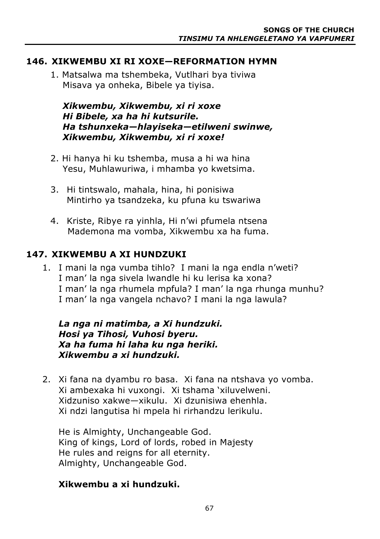#### **146. XIKWEMBU XI RI XOXE—REFORMATION HYMN**

1. Matsalwa ma tshembeka, Vutlhari bya tiviwa Misava ya onheka, Bibele ya tiyisa.

*Xikwembu, Xikwembu, xi ri xoxe Hi Bibele, xa ha hi kutsurile. Ha tshunxeka—hlayiseka—etilweni swinwe, Xikwembu, Xikwembu, xi ri xoxe!*

- 2. Hi hanya hi ku tshemba, musa a hi wa hina Yesu, Muhlawuriwa, i mhamba yo kwetsima.
- 3. Hi tintswalo, mahala, hina, hi ponisiwa Mintirho ya tsandzeka, ku pfuna ku tswariwa
- 4. Kriste, Ribye ra yinhla, Hi n'wi pfumela ntsena Mademona ma vomba, Xikwembu xa ha fuma.

### **147. XIKWEMBU A XI HUNDZUKI**

1. I mani la nga vumba tihlo? I mani la nga endla n'weti? I man' la nga sivela lwandle hi ku lerisa ka xona? I man' la nga rhumela mpfula? I man' la nga rhunga munhu? I man' la nga vangela nchavo? I mani la nga lawula?

*La nga ni matimba, a Xi hundzuki. Hosi ya Tihosi, Vuhosi byeru. Xa ha fuma hi laha ku nga heriki. Xikwembu a xi hundzuki.*

2. Xi fana na dyambu ro basa. Xi fana na ntshava yo vomba. Xi ambexaka hi vuxongi. Xi tshama 'xiluvelweni. Xidzuniso xakwe—xikulu. Xi dzunisiwa ehenhla. Xi ndzi langutisa hi mpela hi rirhandzu lerikulu.

He is Almighty, Unchangeable God. King of kings, Lord of lords, robed in Majesty He rules and reigns for all eternity. Almighty, Unchangeable God.

### **Xikwembu a xi hundzuki.**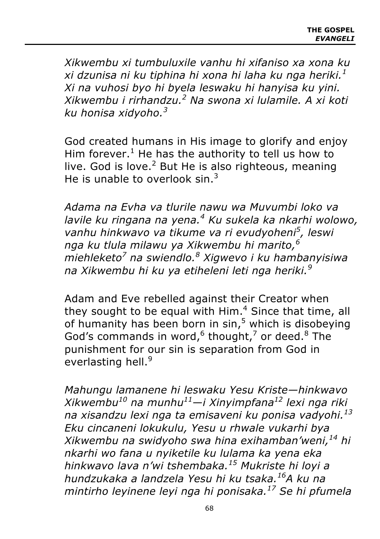*Xikwembu xi tumbuluxile vanhu hi xifaniso xa xona ku xi dzunisa ni ku tiphina hi xona hi laha ku nga heriki.<sup>1</sup> Xi na vuhosi byo hi byela leswaku hi hanyisa ku yini. Xikwembu i rirhandzu.<sup>2</sup> Na swona xi lulamile. A xi koti ku honisa xidyoho.<sup>3</sup>*

God created humans in His image to glorify and enjoy Him forever.<sup>1</sup> He has the authority to tell us how to live. God is love. $2$  But He is also righteous, meaning He is unable to overlook  $\sin^3$ 

*Adama na Evha va tlurile nawu wa Muvumbi loko va lavile ku ringana na yena.<sup>4</sup> Ku sukela ka nkarhi wolowo, vanhu hinkwavo va tikume va ri evudyoheni<sup>5</sup> , leswi nga ku tlula milawu ya Xikwembu hi marito,<sup>6</sup> miehleketo<sup>7</sup> na swiendlo.<sup>8</sup> Xigwevo i ku hambanyisiwa na Xikwembu hi ku ya etiheleni leti nga heriki.<sup>9</sup>*

Adam and Eve rebelled against their Creator when they sought to be equal with Him. $<sup>4</sup>$  Since that time, all</sup> of humanity has been born in sin,<sup>5</sup> which is disobeying God's commands in word, $6$  thought, $7$  or deed. $8$  The punishment for our sin is separation from God in everlasting hell.<sup>9</sup>

*Mahungu lamanene hi leswaku Yesu Kriste—hinkwavo Xikwembu<sup>10</sup> na munhu11—i Xinyimpfana12 lexi nga riki na xisandzu lexi nga ta emisaveni ku ponisa vadyohi.<sup>13</sup> Eku cincaneni lokukulu, Yesu u rhwale vukarhi bya Xikwembu na swidyoho swa hina exihamban'weni,<sup>14</sup> hi nkarhi wo fana u nyiketile ku lulama ka yena eka hinkwavo lava n'wi tshembaka.<sup>15</sup> Mukriste hi loyi a hundzukaka a landzela Yesu hi ku tsaka.16A ku na mintirho leyinene leyi nga hi ponisaka.<sup>17</sup> Se hi pfumela*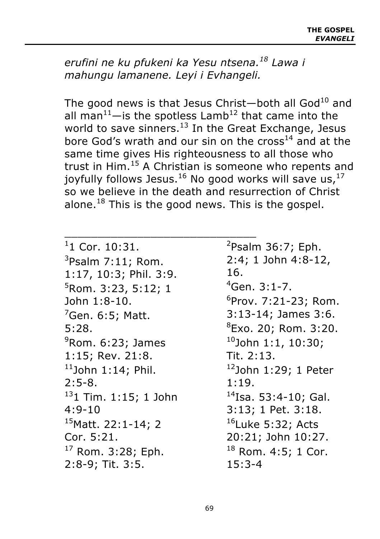*erufini ne ku pfukeni ka Yesu ntsena.<sup>18</sup> Lawa i mahungu lamanene. Leyi i Evhangeli.*

The good news is that Jesus Christ-both all  $God<sup>10</sup>$  and all man $11$ —is the spotless Lamb $12$  that came into the world to save sinners.<sup>13</sup> In the Great Exchange, Jesus bore God's wrath and our sin on the  $cross^{14}$  and at the same time gives His righteousness to all those who trust in Him.<sup>15</sup> A Christian is someone who repents and joyfully follows Jesus.<sup>16</sup> No good works will save us,<sup>17</sup> so we believe in the death and resurrection of Christ alone.<sup>18</sup> This is the good news. This is the gospel.

\_\_\_\_\_\_\_\_\_\_\_\_\_\_\_\_\_\_\_\_\_\_\_\_\_\_\_\_\_  $1$  Cor. 10:31.  $3$ Psalm 7:11; Rom. 1:17, 10:3; Phil. 3:9. <sup>5</sup>Rom. 3:23, 5:12; 1 John 1:8-10.  $^7$ Gen. 6:5; Matt. 5:28. <sup>9</sup>Rom. 6:23; James 1:15; Rev. 21:8.  $11$ John 1:14; Phil.  $2:5-8.$  $131$  Tim. 1:15; 1 John 4:9-10  $15$ Matt. 22:1-14; 2 Cor. 5:21.  $17$  Rom. 3:28; Eph. 2:8-9; Tit. 3:5.  $2$ Psalm 36:7; Eph. 2:4; 1 John 4:8-12, 16. 4 Gen. 3:1-7. 6 Prov. 7:21-23; Rom. 3:13-14; James 3:6. 8 Exo. 20; Rom. 3:20.  $10$ John 1:1, 10:30; Tit. 2:13.  $12$ John 1:29; 1 Peter 1:19. <sup>14</sup>Isa. 53:4-10; Gal. 3:13; 1 Pet. 3:18.  $16$ Luke 5:32; Acts 20:21; John 10:27. <sup>18</sup> Rom. 4:5; 1 Cor. 15:3-4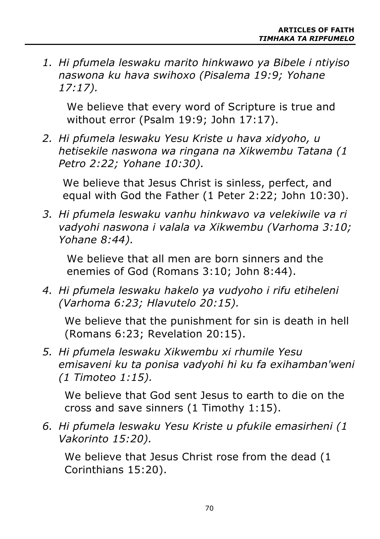*1. Hi pfumela leswaku marito hinkwawo ya Bibele i ntiyiso naswona ku hava swihoxo (Pisalema 19:9; Yohane 17:17).*

We believe that every word of Scripture is true and without error (Psalm 19:9; John 17:17).

*2. Hi pfumela leswaku Yesu Kriste u hava xidyoho, u hetisekile naswona wa ringana na Xikwembu Tatana (1 Petro 2:22; Yohane 10:30).*

We believe that Jesus Christ is sinless, perfect, and equal with God the Father (1 Peter 2:22; John 10:30).

*3. Hi pfumela leswaku vanhu hinkwavo va velekiwile va ri vadyohi naswona i valala va Xikwembu (Varhoma 3:10; Yohane 8:44).*

We believe that all men are born sinners and the enemies of God (Romans 3:10; John 8:44).

*4. Hi pfumela leswaku hakelo ya vudyoho i rifu etiheleni (Varhoma 6:23; Hlavutelo 20:15).*

We believe that the punishment for sin is death in hell (Romans 6:23; Revelation 20:15).

*5. Hi pfumela leswaku Xikwembu xi rhumile Yesu emisaveni ku ta ponisa vadyohi hi ku fa exihamban'weni (1 Timoteo 1:15).*

We believe that God sent Jesus to earth to die on the cross and save sinners (1 Timothy 1:15).

*6. Hi pfumela leswaku Yesu Kriste u pfukile emasirheni (1 Vakorinto 15:20).*

We believe that Jesus Christ rose from the dead (1 Corinthians 15:20).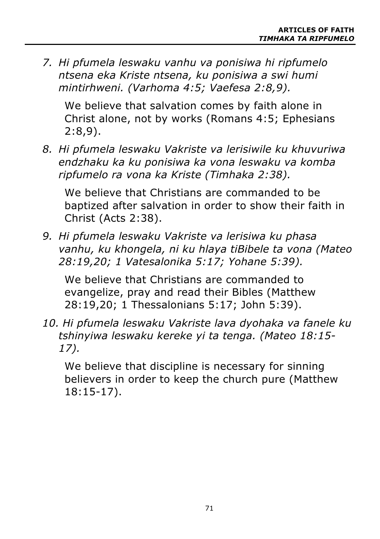*7. Hi pfumela leswaku vanhu va ponisiwa hi ripfumelo ntsena eka Kriste ntsena, ku ponisiwa a swi humi mintirhweni. (Varhoma 4:5; Vaefesa 2:8,9).*

We believe that salvation comes by faith alone in Christ alone, not by works (Romans 4:5; Ephesians 2:8,9).

*8. Hi pfumela leswaku Vakriste va lerisiwile ku khuvuriwa endzhaku ka ku ponisiwa ka vona leswaku va komba ripfumelo ra vona ka Kriste (Timhaka 2:38).*

We believe that Christians are commanded to be baptized after salvation in order to show their faith in Christ (Acts 2:38).

*9. Hi pfumela leswaku Vakriste va lerisiwa ku phasa vanhu, ku khongela, ni ku hlaya tiBibele ta vona (Mateo 28:19,20; 1 Vatesalonika 5:17; Yohane 5:39).*

We believe that Christians are commanded to evangelize, pray and read their Bibles (Matthew 28:19,20; 1 Thessalonians 5:17; John 5:39).

*10. Hi pfumela leswaku Vakriste lava dyohaka va fanele ku tshinyiwa leswaku kereke yi ta tenga. (Mateo 18:15- 17).*

We believe that discipline is necessary for sinning believers in order to keep the church pure (Matthew 18:15-17).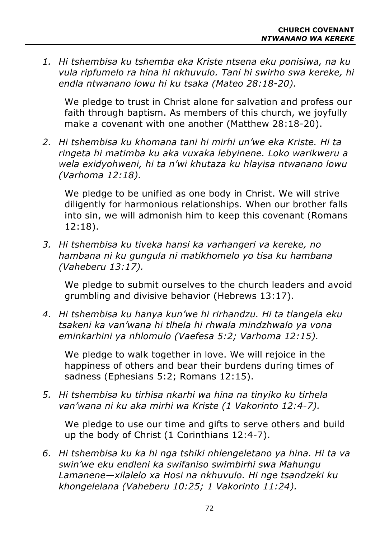*1. Hi tshembisa ku tshemba eka Kriste ntsena eku ponisiwa, na ku vula ripfumelo ra hina hi nkhuvulo. Tani hi swirho swa kereke, hi endla ntwanano lowu hi ku tsaka (Mateo 28:18-20).* 

We pledge to trust in Christ alone for salvation and profess our faith through baptism. As members of this church, we joyfully make a covenant with one another (Matthew 28:18-20).

*2. Hi tshembisa ku khomana tani hi mirhi un'we eka Kriste. Hi ta ringeta hi matimba ku aka vuxaka lebyinene. Loko warikweru a wela exidyohweni, hi ta n'wi khutaza ku hlayisa ntwanano lowu (Varhoma 12:18).*

We pledge to be unified as one body in Christ. We will strive diligently for harmonious relationships. When our brother falls into sin, we will admonish him to keep this covenant (Romans 12:18).

*3. Hi tshembisa ku tiveka hansi ka varhangeri va kereke, no hambana ni ku gungula ni matikhomelo yo tisa ku hambana (Vaheberu 13:17).*

We pledge to submit ourselves to the church leaders and avoid grumbling and divisive behavior (Hebrews 13:17).

*4. Hi tshembisa ku hanya kun'we hi rirhandzu. Hi ta tlangela eku tsakeni ka van'wana hi tlhela hi rhwala mindzhwalo ya vona eminkarhini ya nhlomulo (Vaefesa 5:2; Varhoma 12:15).*

We pledge to walk together in love. We will rejoice in the happiness of others and bear their burdens during times of sadness (Ephesians 5:2; Romans 12:15).

*5. Hi tshembisa ku tirhisa nkarhi wa hina na tinyiko ku tirhela van'wana ni ku aka mirhi wa Kriste (1 Vakorinto 12:4-7).*

We pledge to use our time and gifts to serve others and build up the body of Christ (1 Corinthians 12:4-7).

*6. Hi tshembisa ku ka hi nga tshiki nhlengeletano ya hina. Hi ta va swin'we eku endleni ka swifaniso swimbirhi swa Mahungu Lamanene—xilalelo xa Hosi na nkhuvulo. Hi nge tsandzeki ku khongelelana (Vaheberu 10:25; 1 Vakorinto 11:24).*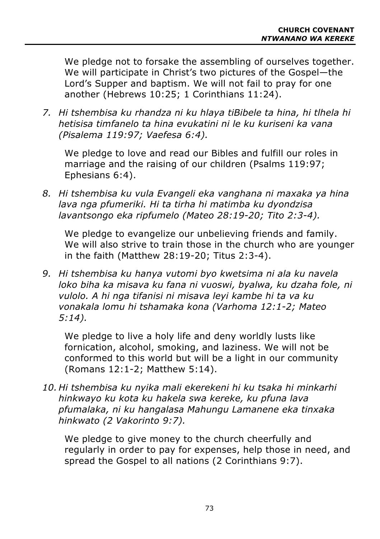We pledge not to forsake the assembling of ourselves together. We will participate in Christ's two pictures of the Gospel—the Lord's Supper and baptism. We will not fail to pray for one another (Hebrews 10:25; 1 Corinthians 11:24).

*7. Hi tshembisa ku rhandza ni ku hlaya tiBibele ta hina, hi tlhela hi hetisisa timfanelo ta hina evukatini ni le ku kuriseni ka vana (Pisalema 119:97; Vaefesa 6:4).*

We pledge to love and read our Bibles and fulfill our roles in marriage and the raising of our children (Psalms 119:97; Ephesians 6:4).

*8. Hi tshembisa ku vula Evangeli eka vanghana ni maxaka ya hina lava nga pfumeriki. Hi ta tirha hi matimba ku dyondzisa lavantsongo eka ripfumelo (Mateo 28:19-20; Tito 2:3-4).*

We pledge to evangelize our unbelieving friends and family. We will also strive to train those in the church who are vounger in the faith (Matthew 28:19-20; Titus 2:3-4).

*9. Hi tshembisa ku hanya vutomi byo kwetsima ni ala ku navela loko biha ka misava ku fana ni vuoswi, byalwa, ku dzaha fole, ni vulolo. A hi nga tifanisi ni misava leyi kambe hi ta va ku vonakala lomu hi tshamaka kona (Varhoma 12:1-2; Mateo 5:14).*

We pledge to live a holy life and deny worldly lusts like fornication, alcohol, smoking, and laziness. We will not be conformed to this world but will be a light in our community (Romans 12:1-2; Matthew 5:14).

*10. Hi tshembisa ku nyika mali ekerekeni hi ku tsaka hi minkarhi hinkwayo ku kota ku hakela swa kereke, ku pfuna lava pfumalaka, ni ku hangalasa Mahungu Lamanene eka tinxaka hinkwato (2 Vakorinto 9:7).*

We pledge to give money to the church cheerfully and regularly in order to pay for expenses, help those in need, and spread the Gospel to all nations (2 Corinthians 9:7).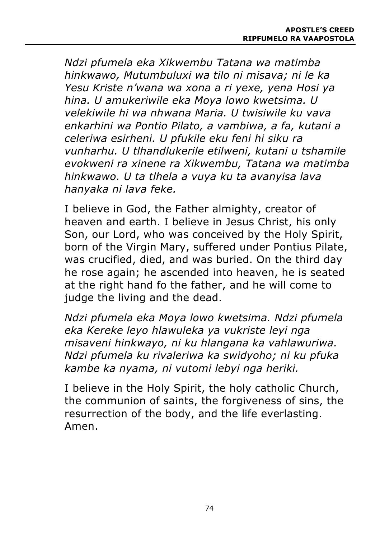*Ndzi pfumela eka Xikwembu Tatana wa matimba hinkwawo, Mutumbuluxi wa tilo ni misava; ni le ka Yesu Kriste n'wana wa xona a ri yexe, yena Hosi ya hina. U amukeriwile eka Moya lowo kwetsima. U velekiwile hi wa nhwana Maria. U twisiwile ku vava enkarhini wa Pontio Pilato, a vambiwa, a fa, kutani a celeriwa esirheni. U pfukile eku feni hi siku ra vunharhu. U tlhandlukerile etilweni, kutani u tshamile evokweni ra xinene ra Xikwembu, Tatana wa matimba hinkwawo. U ta tlhela a vuya ku ta avanyisa lava hanyaka ni lava feke.* 

I believe in God, the Father almighty, creator of heaven and earth. I believe in Jesus Christ, his only Son, our Lord, who was conceived by the Holy Spirit, born of the Virgin Mary, suffered under Pontius Pilate, was crucified, died, and was buried. On the third day he rose again; he ascended into heaven, he is seated at the right hand fo the father, and he will come to judge the living and the dead.

*Ndzi pfumela eka Moya lowo kwetsima. Ndzi pfumela eka Kereke leyo hlawuleka ya vukriste leyi nga misaveni hinkwayo, ni ku hlangana ka vahlawuriwa. Ndzi pfumela ku rivaleriwa ka swidyoho; ni ku pfuka kambe ka nyama, ni vutomi lebyi nga heriki.*

I believe in the Holy Spirit, the holy catholic Church, the communion of saints, the forgiveness of sins, the resurrection of the body, and the life everlasting. Amen.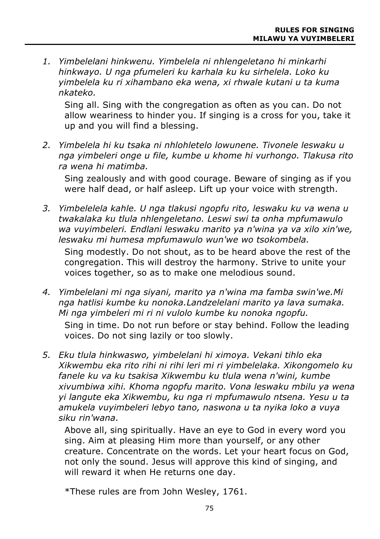*1. Yimbelelani hinkwenu. Yimbelela ni nhlengeletano hi minkarhi hinkwayo. U nga pfumeleri ku karhala ku ku sirhelela. Loko ku yimbelela ku ri xihambano eka wena, xi rhwale kutani u ta kuma nkateko.*

Sing all. Sing with the congregation as often as you can. Do not allow weariness to hinder you. If singing is a cross for you, take it up and you will find a blessing.

*2. Yimbelela hi ku tsaka ni nhlohletelo lowunene. Tivonele leswaku u nga yimbeleri onge u file, kumbe u khome hi vurhongo. Tlakusa rito ra wena hi matimba.* 

Sing zealously and with good courage. Beware of singing as if you were half dead, or half asleep. Lift up your voice with strength.

*3. Yimbelelela kahle. U nga tlakusi ngopfu rito, leswaku ku va wena u twakalaka ku tlula nhlengeletano. Leswi swi ta onha mpfumawulo wa vuyimbeleri. Endlani leswaku marito ya n'wina ya va xilo xin'we, leswaku mi humesa mpfumawulo wun'we wo tsokombela.*

Sing modestly. Do not shout, as to be heard above the rest of the congregation. This will destroy the harmony. Strive to unite your voices together, so as to make one melodious sound.

- *4. Yimbelelani mi nga siyani, marito ya n'wina ma famba swin'we.Mi nga hatlisi kumbe ku nonoka.Landzelelani marito ya lava sumaka. Mi nga yimbeleri mi ri ni vulolo kumbe ku nonoka ngopfu.* Sing in time. Do not run before or stay behind. Follow the leading voices. Do not sing lazily or too slowly.
- *5. Eku tlula hinkwaswo, yimbelelani hi ximoya. Vekani tihlo eka Xikwembu eka rito rihi ni rihi leri mi ri yimbelelaka. Xikongomelo ku fanele ku va ku tsakisa Xikwembu ku tlula wena n'wini, kumbe xivumbiwa xihi. Khoma ngopfu marito. Vona leswaku mbilu ya wena yi langute eka Xikwembu, ku nga ri mpfumawulo ntsena. Yesu u ta amukela vuyimbeleri lebyo tano, naswona u ta nyika loko a vuya siku rin'wana.*

Above all, sing spiritually. Have an eye to God in every word you sing. Aim at pleasing Him more than yourself, or any other creature. Concentrate on the words. Let your heart focus on God, not only the sound. Jesus will approve this kind of singing, and will reward it when He returns one day.

\*These rules are from John Wesley, 1761.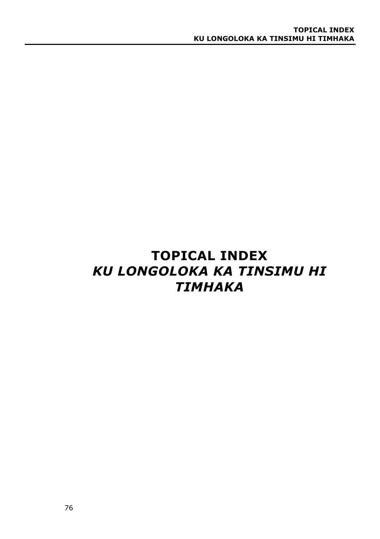# **TOPICAL INDEX** *KU LONGOLOKA KA TINSIMU HI TIMHAKA*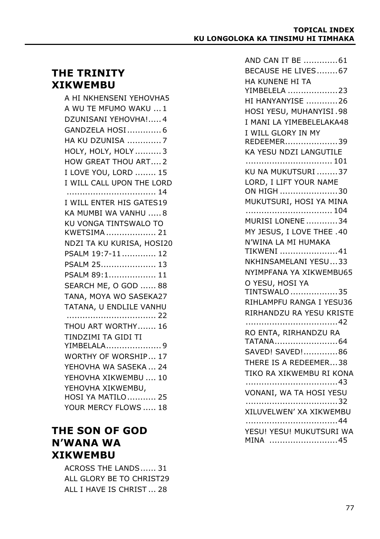# **THE TRINITY XIKWEMBU**

| A HI NKHENSENI YEHOVHA5                    |
|--------------------------------------------|
| A WU TE MFUMO WAKU  1                      |
| DZUNISANI YEHOVHA! 4                       |
| GANDZELA HOSI  6                           |
| HA KU DZUNISA 7                            |
| HOLY, HOLY, HOLY  3                        |
| <b>HOW GREAT THOU ART 2</b>                |
| I LOVE YOU, LORD  15                       |
| I WILL CALL UPON THE LORD                  |
|                                            |
| I WILL ENTER HIS GATES19                   |
| KA MUMBI WA VANHU  8                       |
| KU VONGA TINTSWALO TO                      |
| KWETSIMA  21                               |
| NDZI TA KU KURISA, HOSI20                  |
| PSALM 19:7-11 12                           |
| PSALM 25 13                                |
| PSALM 89:1 11                              |
| SEARCH ME, O GOD  88                       |
| TANA, MOYA WO SASEKA27                     |
| TATANA, U ENDLILE VANHU                    |
|                                            |
| THOU ART WORTHY 16                         |
| TINDZIMI TA GIDI TI                        |
| . 9<br>YIMBELALA                           |
| <b>WORTHY OF WORSHIP 17</b>                |
| YEHOVHA WA SASEKA  24                      |
| YEHOVHA XIKWEMBU  10                       |
| YEHOVHA XIKWEMBU.                          |
| HOSI YA MATILO  25<br>YOUR MERCY FLOWS  18 |
|                                            |

# **THE SON OF GOD N'WANA WA XIKWEMBU**

ACROSS THE LANDS...... 31 ALL GLORY BE TO CHRIST29 ALL I HAVE IS CHRIST ... 28

AND CAN IT BE .............61 BECAUSE HE LIVES........67 HA KUNENE HI TA YIMBELELA 23 HI HANYANYISE ............26 HOSI YESU, MUHANYISI .98 I MANI LA YIMEBELELAKA48 I WILL GLORY IN MY REDEEMER....................39 KA YESU NDZI LANGUTILE ................................. 101 KU NA MUKUTSURI ........37 LORD, I LIFT YOUR NAME ON HIGH ......................30 MUKUTSURI, HOSI YA MINA ................................. 104 MURISI LONENE ............34 MY JESUS, I LOVE THEE .40 N'WINA LA MI HUMAKA TIKWENI ......................41 NKHINSAMELANI YESU...33 NYIMPFANA YA XIKWEMBU65 O YESU, HOSI YA TINTSWALO ..................35 RIHLAMPFU RANGA I YESU36 RIRHANDZU RA YESU KRISTE ...................................42 RO ENTA, RIRHANDZU RA TATANA........................64 SAVED! SAVED!.............86 THERE IS A REDEEMER...38 TIKO RA XIKWEMBU RI KONA ...................................43 VONANI, WA TA HOSI YESU ...................................32 XILUVELWEN' XA XIKWEMBU ...................................44 YESU! YESU! MUKUTSURI WA MINA ..........................45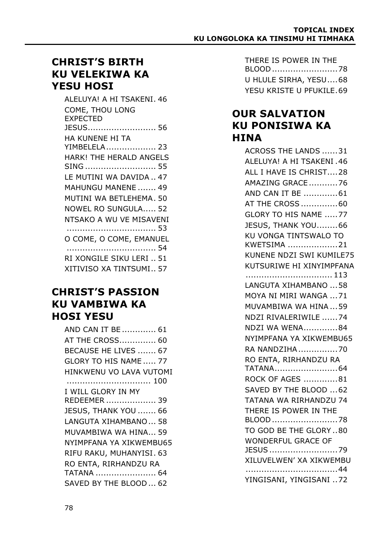# **CHRIST'S BIRTH KU VELEKIWA KA YESU HOSI**

ALELUYA! A HI TSAKENI. 46 COME, THOU LONG **EXPECTED** JESUS.......................... 56 HA KUNENE HI TA YIMBELELA................... 23 HARK! THE HERALD ANGELS SING ........................... 55 LE MUTINI WA DAVIDA .. 47 MAHUNGU MANENE 49 MUTINI WA BETLEHEMA. 50 NOWEL RO SUNGULA..... 52 NTSAKO A WU VE MISAVENI .................................. 53 O COME, O COME, EMANUEL .................................. 54 RI XONGILE SIKU LERI .. 51 XITIVISO XA TINTSUMI.. 57

# **CHRIST'S PASSION KU VAMBIWA KA HOSI YESU**

THERE IS POWER IN THE BLOOD.........................78 U HLULE SIRHA, YESU....68 YESU KRISTE U PFUKILE 69

# **OUR SALVATION KU PONISIWA KA HINA**

ACROSS THE LANDS ......31 ALELUYA! A HI TSAKENI .46 ALL I HAVE IS CHRIST....28 AMAZING GRACE...........76 AND CAN IT BE .............61 AT THE CROSS ..............60 GLORY TO HIS NAME .....77 JESUS, THANK YOU........66 KU VONGA TINTSWALO TO KWFTSIMA 21 KUNENE NDZI SWI KUMILE75 KUTSURIWE HI XINYIMPFANA ................................. 113 LANGUTA XIHAMBANO ...58 MOYA NI MIRI WANGA ...71 MUVAMBIWA WA HINA 59 NDZI RIVALERIWILE ......74 NDZI WA WENA.............84 NYIMPFANA YA XIKWEMBU65 RA NANDZIHA...............70 RO ENTA, RIRHANDZU RA TATANA........................64 ROCK OF AGES .............81 SAVED BY THE BLOOD ...62 TATANA WA RIRHANDZU 74 THERE IS POWER IN THE BLOOD.........................78 TO GOD BE THE GLORY ..80 WONDERFUL GRACE OF JESUS ..........................79 XILUVELWEN' XA XIKWEMBU ...................................44 YINGISANI, YINGISANI ..72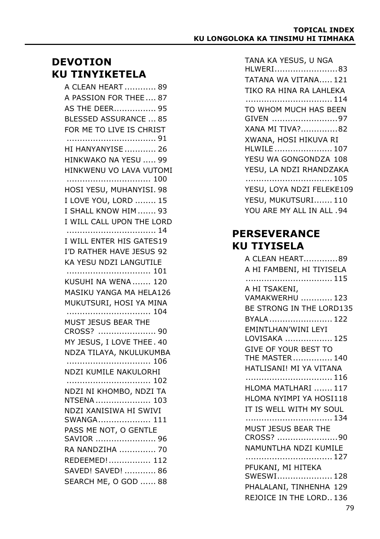#### **TOPICAL INDEX KU LONGOLOKA KA TINSIMU HI TIMHAKA**

# **DEVOTION KU TINYIKETELA**

| A CLEAN HEART  89                    |
|--------------------------------------|
| A PASSION FOR THEE 87                |
| AS THE DEER 95                       |
| <b>BLESSED ASSURANCE  85</b>         |
| FOR ME TO LIVE IS CHRIST             |
|                                      |
| HI HANYANYISE  26                    |
| HINKWAKO NA YESU  99                 |
| HINKWENU VO LAVA VUTOMI              |
| 100<br>HOSI YESU, MUHANYISI. 98      |
|                                      |
| I LOVE YOU, LORD  15                 |
| I SHALL KNOW HIM  93                 |
| I WILL CALL UPON THE LORD            |
| 14                                   |
| I WILL ENTER HIS GATES19             |
| I'D RATHER HAVE JESUS 92             |
| KA YESU NDZI LANGUTILE               |
| . 101<br>KUSUHI NA WENA  120         |
| MASIKU YANGA MA HELA126              |
| MUKUTSURI, HOSI YA MINA              |
|                                      |
| MUST JESUS BEAR THE                  |
| CROSS?  90                           |
| MY JESUS, I LOVE THEE. 40            |
| NDZA TILAYA, NKULUKUMBA              |
|                                      |
| NDZI KUMILE NAKULORHI                |
|                                      |
| NDZI NI KHOMBO, NDZI TA              |
| NTSENA  103                          |
| NDZI XANISIWA HI SWIVI<br>SWANGA 111 |
| PASS ME NOT, O GENTLE                |
| SAVIOR  96                           |
| RA NANDZIHA<br>70                    |
| REDEEMED! 112                        |
| SAVED! SAVED!  86                    |
| SEARCH ME, O GOD  88                 |
|                                      |

| TANA KA YESUS, U NGA      |
|---------------------------|
| HLWERI83                  |
| TATANA WA VITANA 121      |
| TIKO RA HINA RA LAHLEKA   |
|                           |
| TO WHOM MUCH HAS BEEN     |
| GIVEN 97                  |
| XANA MI TIVA?82           |
| XWANA, HOSI HIKUVA RI     |
| HLWILE  107               |
| YESU WA GONGONDZA 108     |
| YESU, LA NDZI RHANDZAKA   |
|                           |
| YESU, LOYA NDZI FELEKE109 |
| YESU, MUKUTSURI 110       |
| YOU ARE MY ALL IN ALL .94 |

# **PERSEVERANCE KU TIYISELA**

| A CLEAN HEART89             |
|-----------------------------|
| A HI FAMBENI, HI TIYISELA   |
|                             |
| A HI TSAKENI,               |
| VAMAKWERHU  123             |
| BE STRONG IN THE LORD135    |
| BYALA  122                  |
| EMINTLHAN'WINI LEYI         |
| LOVISAKA  125               |
| <b>GIVE OF YOUR BEST TO</b> |
| THE MASTER 140              |
| HATLISANI! MI YA VITANA     |
| . 116                       |
| HLOMA MATLHARI  117         |
| HI OMA NYIMPI YA HOSI118    |
| IT IS WELL WITH MY SOUL     |
|                             |
| MUST JESUS BEAR THE         |
| CROSS? 90                   |
| NAMUNTLHA NDZI KUMILE       |
| 127                         |
| PFUKANI, MI HITEKA          |
| SWESWI 128                  |
| PHALALANI, TINHENHA 129     |
| REJOICE IN THE LORD 136     |
|                             |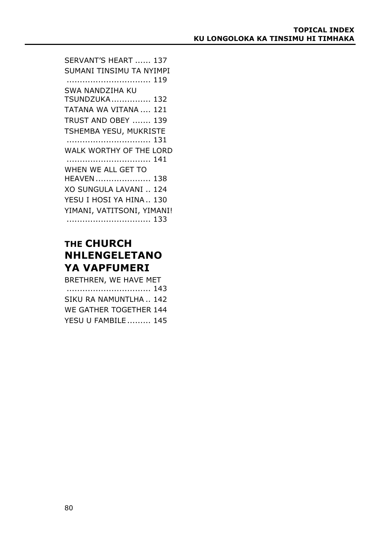SERVANT'S HEART ...... 137 SUMANI TINSIMU TA NYIMPI ................................ 119 SWA NANDZIHA KU TSUNDZUKA............... 132 TATANA WA VITANA .... 121 TRUST AND OBEY ....... 139 TSHEMBA YESU, MUKRISTE ................................ 131 WALK WORTHY OF THE LORD ................................ 141 WHEN WE ALL GET TO HEAVEN ..................... 138 XO SUNGULA LAVANI .. 124 YESU I HOSI YA HINA.. 130 YIMANI, VATITSONI, YIMANI! ................................ 133

## **THE CHURCH NHLENGELETANO YA VAPFUMERI**

| BRETHREN, WE HAVE MET  |  |
|------------------------|--|
|                        |  |
| SIKU RA NAMUNTLHA  142 |  |
| WE GATHER TOGETHER 144 |  |
| YESU U FAMBILE  145    |  |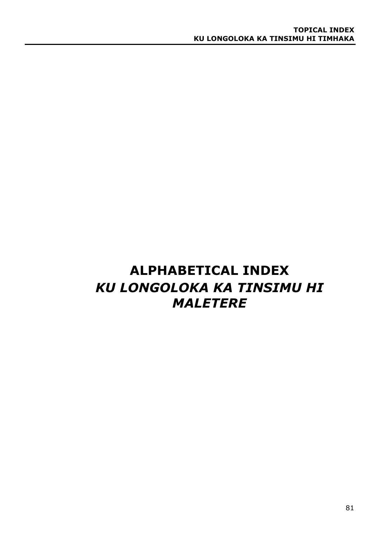# **ALPHABETICAL INDEX** *KU LONGOLOKA KA TINSIMU HI MALETERE*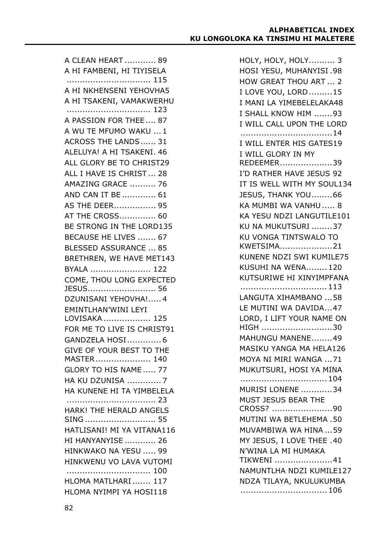A CLEAN HEART ............ 89 A HI FAMBENI, HI TIYISELA ................................ 115 A HI NKHENSENI YEHOVHA5 A HI TSAKENI, VAMAKWERHU ................................ 123 A PASSION FOR THEE .... 87 A WU TE MFUMO WAKU ... 1 ACROSS THE LANDS...... 31 ALELUYA! A HI TSAKENI. 46 ALL GLORY BE TO CHRIST29 ALL I HAVE IS CHRIST ... 28 AMAZING GRACE .......... 76 AND CAN IT BE ............. 61 AS THE DEER................ 95 AT THE CROSS.............. 60 BE STRONG IN THE LORD135 BECAUSE HE LIVES ....... 67 BLESSED ASSURANCE ... 85 BRETHREN, WE HAVE MET143 BYALA ....................... 122 COME, THOU LONG EXPECTED JESUS.......................... 56 DZUNISANI YEHOVHA!..... 4 **EMINTLHAN'WINI LEYI** LOVISAKA .................. 125 FOR ME TO LIVE IS CHRIST91 GANDZELA HOSI ............. 6 GIVE OF YOUR BEST TO THE MASTER..................... 140 GLORY TO HIS NAME ..... 77 HA KU DZUNISA ............. 7 HA KUNENE HI TA YIMBELELA .................................. 23 HARK! THE HERALD ANGELS SING ........................... 55 HATLISANI! MI YA VITANA116 HI HANYANYISE ............ 26 HINKWAKO NA YESU ..... 99 HINKWENU VO LAVA VUTOMI ................................ 100 HLOMA MATLHARI ....... 117 HLOMA NYIMPI YA HOSI118

HOLY, HOLY, HOLY.......... 3 HOSI YESU, MUHANYISI .98 HOW GREAT THOU ART ... 2 I LOVE YOU, LORD.........15 I MANI LA YIMEBELELAKA48 I SHALL KNOW HIM .......93 I WILL CALL UPON THE LORD ...................................14 I WILL ENTER HIS GATES19 I WILL GLORY IN MY REDEEMER....................39 I'D RATHER HAVE JESUS 92 IT IS WELL WITH MY SOUL134 JESUS, THANK YOU........66 KA MUMBI WA VANHU ..... 8 KA YESU NDZI LANGUTILE101 KU NA MUKUTSURI ........37 KU VONGA TINTSWALO TO KWETSIMA....................21 KUNENE NDZI SWI KUMILE75 KUSUHI NA WENA........ 120 KUTSURIWE HI XINYIMPFANA .................................113 LANGUTA XIHAMBANO ...58 LE MUTINI WA DAVIDA...47 LORD, I LIFT YOUR NAME ON HIGH ...........................30 MAHUNGU MANENE........49 MASIKU YANGA MA HELA126 MOYA NI MIRI WANGA ...71 MUKUTSURI, HOSI YA MINA .................................104 MURISI LONENE ............34 MUST JESUS BEAR THE CROSS? .......................90 MUTINI WA BETLEHEMA .50 MUVAMBIWA WA HINA ...59 MY JESUS, I LOVE THEE .40 N'WINA LA MI HUMAKA TIKWENI ......................41 NAMUNTLHA NDZI KUMILE127 NDZA TILAYA, NKULUKUMBA .................................106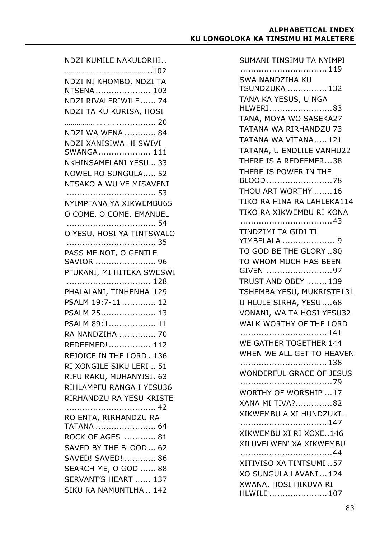| NDZI KUMILE NAKULORHI              |
|------------------------------------|
|                                    |
| NDZI NI KHOMBO, NDZI TA            |
| NTSENA 103<br>NDZI RIVALERIWILE 74 |
| NDZI TA KU KURISA, HOSI            |
|                                    |
| NDZI WA WENA  84                   |
| NDZI XANISIWA HI SWIVI             |
| SWANGA 111                         |
| NKHINSAMELANI YESU  33             |
| NOWEL RO SUNGULA 52                |
| NTSAKO A WU VE MISAVENI            |
| NYIMPFANA YA XIKWEMBU65            |
| O COME, O COME, EMANUEL            |
|                                    |
| O YESU, HOSI YA TINTSWALO          |
| 35                                 |
| PASS ME NOT, O GENTLE              |
| SAVIOR  96                         |
| PFUKANI, MI HITEKA SWESWI          |
| PHALALANI, TINHENHA 129            |
| PSALM 19:7-11 12                   |
| PSALM 25 13                        |
| PSALM 89:1 11                      |
| RA NANDZIHA  70                    |
| REDEEMED! 112                      |
| REJOICE IN THE LORD. 136           |
| RI XONGILE SIKU LERI  51           |
| RIFU RAKU, MUHANYISI. 63           |
| RIHLAMPFU RANGA I YESU36           |
| RIRHANDZU RA YESU KRISTE           |
| RO ENTA, RIRHANDZU RA              |
| TATANA  64                         |
| ROCK OF AGES  81                   |
| SAVED BY THE BLOOD  62             |
| SAVED! SAVED!  86                  |
| SEARCH ME, O GOD  88               |
| SERVANT'S HEART  137               |
| SIKU RA NAMUNTLHA<br>142           |

| SUMANI TINSIMU TA NYIMPI                                                                                                                                                                                                                                                                                                               |
|----------------------------------------------------------------------------------------------------------------------------------------------------------------------------------------------------------------------------------------------------------------------------------------------------------------------------------------|
| SWA NANDZIHA KU<br>TSUNDZUKA<br>$\dots$ 132<br>TANA KA YESUS, U NGA<br>HLWERI83<br>TANA, MOYA WO SASEKA27<br>TATANA WA RIRHANDZU 73<br>TATANA WA VITANA 121<br>TATANA, U ENDLILE VANHU22<br>THERE IS A REDEEMER38<br>THERE IS POWER IN THE<br>BLOOD 78<br>THOU ART WORTHY 16<br>TIKO RA HINA RA LAHLEKA114<br>TIKO RA XIKWEMBU RI KONA |
| TINDZIMI TA GIDI TI<br>YIMBELALA  9<br>TO GOD BE THE GLORY 80<br>TO WHOM MUCH HAS BEEN<br>GIVEN 97<br>TRUST AND OBEY  139<br>TSHEMBA YESU, MUKRISTE131<br>U HLULE SIRHA, YESU68<br>VONANI, WA TA HOSI YESU32<br>WALK WORTHY OF THE LORD<br>141<br>WE GATHER TOGETHER 144                                                               |
| WHEN WE ALL GET TO HEAVEN<br>WONDERFUL GRACE OF JESUS<br>WORTHY OF WORSHIP  17                                                                                                                                                                                                                                                         |
| XANA MI TIVA?82<br>XIKWEMBU A XI HUNDZUKI<br>147<br>XIKWEMBU XI RI XOXE146                                                                                                                                                                                                                                                             |
| XILUVELWEN' XA XIKWEMBU<br>XITIVISO XA TINTSUMI57<br>XO SUNGULA LAVANI  124<br>XWANA, HOSI HIKUVA RI<br>HLWILE  107                                                                                                                                                                                                                    |